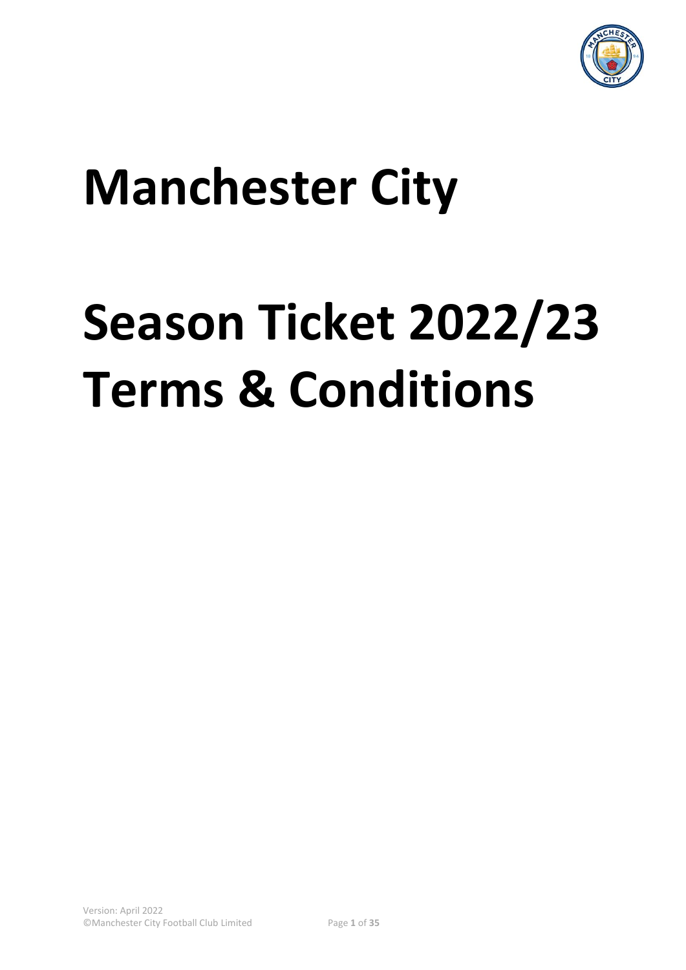

# **Manchester City**

# **Season Ticket 2022/23 Terms & Conditions**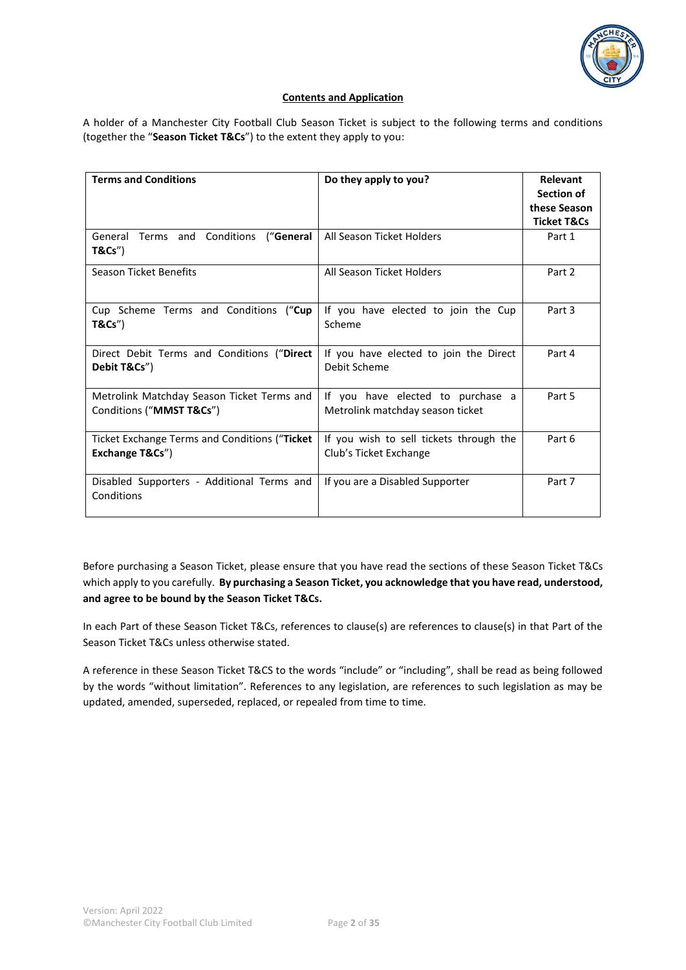

#### **Contents and Application**

A holder of a Manchester City Football Club Season Ticket is subject to the following terms and conditions (together the "**Season Ticket T&Cs**") to the extent they apply to you:

| <b>Terms and Conditions</b>                                            | Do they apply to you?                                                 | <b>Relevant</b><br>Section of<br>these Season<br><b>Ticket T&amp;Cs</b> |
|------------------------------------------------------------------------|-----------------------------------------------------------------------|-------------------------------------------------------------------------|
| General Terms and Conditions<br>("General<br>T&Cs''                    | All Season Ticket Holders                                             | Part 1                                                                  |
| <b>Season Ticket Benefits</b>                                          | All Season Ticket Holders                                             | Part 2                                                                  |
| Cup Scheme Terms and Conditions ("Cup<br>T&Cs''                        | If you have elected to join the Cup<br>Scheme                         | Part 3                                                                  |
| Direct Debit Terms and Conditions ("Direct<br>Debit T&Cs")             | If you have elected to join the Direct<br>Debit Scheme                | Part 4                                                                  |
| Metrolink Matchday Season Ticket Terms and<br>Conditions ("MMST T&Cs") | If you have elected to purchase a<br>Metrolink matchday season ticket | Part 5                                                                  |
| Ticket Exchange Terms and Conditions ("Ticket<br>Exchange T&Cs")       | If you wish to sell tickets through the<br>Club's Ticket Exchange     | Part 6                                                                  |
| Disabled Supporters - Additional Terms and<br>Conditions               | If you are a Disabled Supporter                                       | Part 7                                                                  |

Before purchasing a Season Ticket, please ensure that you have read the sections of these Season Ticket T&Cs which apply to you carefully. **By purchasing a Season Ticket, you acknowledge that you have read, understood, and agree to be bound by the Season Ticket T&Cs.**

In each Part of these Season Ticket T&Cs, references to clause(s) are references to clause(s) in that Part of the Season Ticket T&Cs unless otherwise stated.

A reference in these Season Ticket T&CS to the words "include" or "including", shall be read as being followed by the words "without limitation". References to any legislation, are references to such legislation as may be updated, amended, superseded, replaced, or repealed from time to time.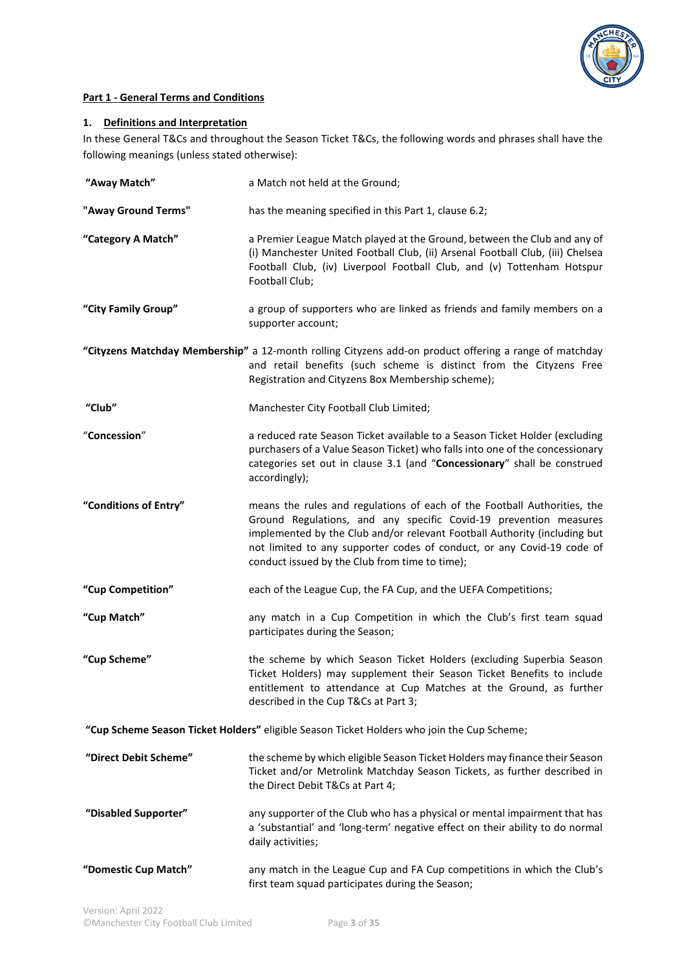

# **Part 1 - General Terms and Conditions**

# **1. Definitions and Interpretation**

In these General T&Cs and throughout the Season Ticket T&Cs, the following words and phrases shall have the following meanings (unless stated otherwise):

| "Away Match"          | a Match not held at the Ground;                                                                                                                                                                                                                                                                                                                        |
|-----------------------|--------------------------------------------------------------------------------------------------------------------------------------------------------------------------------------------------------------------------------------------------------------------------------------------------------------------------------------------------------|
| "Away Ground Terms"   | has the meaning specified in this Part 1, clause 6.2;                                                                                                                                                                                                                                                                                                  |
| "Category A Match"    | a Premier League Match played at the Ground, between the Club and any of<br>(i) Manchester United Football Club, (ii) Arsenal Football Club, (iii) Chelsea<br>Football Club, (iv) Liverpool Football Club, and (v) Tottenham Hotspur<br>Football Club;                                                                                                 |
| "City Family Group"   | a group of supporters who are linked as friends and family members on a<br>supporter account;                                                                                                                                                                                                                                                          |
|                       | "Cityzens Matchday Membership" a 12-month rolling Cityzens add-on product offering a range of matchday<br>and retail benefits (such scheme is distinct from the Cityzens Free<br>Registration and Cityzens Box Membership scheme);                                                                                                                     |
| "Club"                | Manchester City Football Club Limited;                                                                                                                                                                                                                                                                                                                 |
| "Concession"          | a reduced rate Season Ticket available to a Season Ticket Holder (excluding<br>purchasers of a Value Season Ticket) who falls into one of the concessionary<br>categories set out in clause 3.1 (and "Concessionary" shall be construed<br>accordingly);                                                                                               |
| "Conditions of Entry" | means the rules and regulations of each of the Football Authorities, the<br>Ground Regulations, and any specific Covid-19 prevention measures<br>implemented by the Club and/or relevant Football Authority (including but<br>not limited to any supporter codes of conduct, or any Covid-19 code of<br>conduct issued by the Club from time to time); |
| "Cup Competition"     | each of the League Cup, the FA Cup, and the UEFA Competitions;                                                                                                                                                                                                                                                                                         |
| "Cup Match"           | any match in a Cup Competition in which the Club's first team squad<br>participates during the Season;                                                                                                                                                                                                                                                 |
| "Cup Scheme"          | the scheme by which Season Ticket Holders (excluding Superbia Season<br>Ticket Holders) may supplement their Season Ticket Benefits to include<br>entitlement to attendance at Cup Matches at the Ground, as further<br>described in the Cup T&Cs at Part 3;                                                                                           |
|                       | "Cup Scheme Season Ticket Holders" eligible Season Ticket Holders who join the Cup Scheme;                                                                                                                                                                                                                                                             |
| "Direct Debit Scheme" | the scheme by which eligible Season Ticket Holders may finance their Season<br>Ticket and/or Metrolink Matchday Season Tickets, as further described in<br>the Direct Debit T&Cs at Part 4;                                                                                                                                                            |
| "Disabled Supporter"  | any supporter of the Club who has a physical or mental impairment that has<br>a 'substantial' and 'long-term' negative effect on their ability to do normal<br>daily activities;                                                                                                                                                                       |
| "Domestic Cup Match"  | any match in the League Cup and FA Cup competitions in which the Club's<br>first team squad participates during the Season;                                                                                                                                                                                                                            |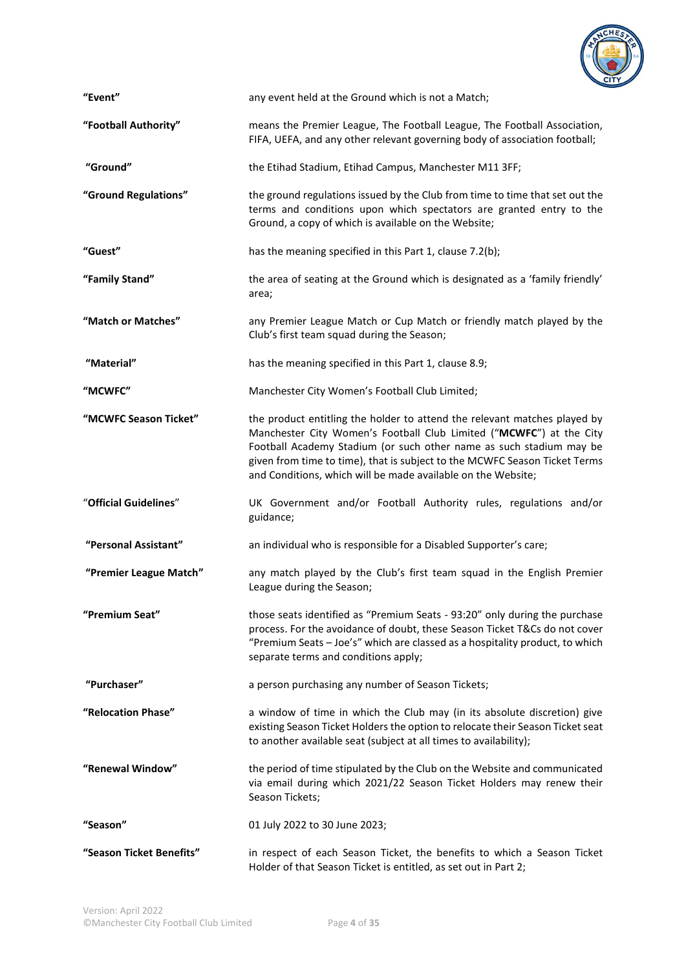

| "Event"                | any event held at the Ground which is not a Match;                                                                                                                                                                                                                                                                                                                    |
|------------------------|-----------------------------------------------------------------------------------------------------------------------------------------------------------------------------------------------------------------------------------------------------------------------------------------------------------------------------------------------------------------------|
| "Football Authority"   | means the Premier League, The Football League, The Football Association,<br>FIFA, UEFA, and any other relevant governing body of association football;                                                                                                                                                                                                                |
| "Ground"               | the Etihad Stadium, Etihad Campus, Manchester M11 3FF;                                                                                                                                                                                                                                                                                                                |
| "Ground Regulations"   | the ground regulations issued by the Club from time to time that set out the<br>terms and conditions upon which spectators are granted entry to the<br>Ground, a copy of which is available on the Website;                                                                                                                                                           |
| "Guest"                | has the meaning specified in this Part 1, clause 7.2(b);                                                                                                                                                                                                                                                                                                              |
| "Family Stand"         | the area of seating at the Ground which is designated as a 'family friendly'<br>area;                                                                                                                                                                                                                                                                                 |
| "Match or Matches"     | any Premier League Match or Cup Match or friendly match played by the<br>Club's first team squad during the Season;                                                                                                                                                                                                                                                   |
| "Material"             | has the meaning specified in this Part 1, clause 8.9;                                                                                                                                                                                                                                                                                                                 |
| "MCWFC"                | Manchester City Women's Football Club Limited;                                                                                                                                                                                                                                                                                                                        |
| "MCWFC Season Ticket"  | the product entitling the holder to attend the relevant matches played by<br>Manchester City Women's Football Club Limited ("MCWFC") at the City<br>Football Academy Stadium (or such other name as such stadium may be<br>given from time to time), that is subject to the MCWFC Season Ticket Terms<br>and Conditions, which will be made available on the Website; |
| "Official Guidelines"  | UK Government and/or Football Authority rules, regulations and/or<br>guidance;                                                                                                                                                                                                                                                                                        |
| "Personal Assistant"   | an individual who is responsible for a Disabled Supporter's care;                                                                                                                                                                                                                                                                                                     |
| "Premier League Match" | any match played by the Club's first team squad in the English Premier<br>League during the Season;                                                                                                                                                                                                                                                                   |
| "Premium Seat"         | those seats identified as "Premium Seats - 93:20" only during the purchase<br>process. For the avoidance of doubt, these Season Ticket T&Cs do not cover<br>"Premium Seats - Joe's" which are classed as a hospitality product, to which<br>separate terms and conditions apply;                                                                                      |
| "Purchaser"            | a person purchasing any number of Season Tickets;                                                                                                                                                                                                                                                                                                                     |
| "Relocation Phase"     | a window of time in which the Club may (in its absolute discretion) give<br>existing Season Ticket Holders the option to relocate their Season Ticket seat<br>to another available seat (subject at all times to availability);                                                                                                                                       |
| "Renewal Window"       | the period of time stipulated by the Club on the Website and communicated<br>via email during which 2021/22 Season Ticket Holders may renew their<br>Season Tickets;                                                                                                                                                                                                  |
| "Season"               | 01 July 2022 to 30 June 2023;                                                                                                                                                                                                                                                                                                                                         |
|                        |                                                                                                                                                                                                                                                                                                                                                                       |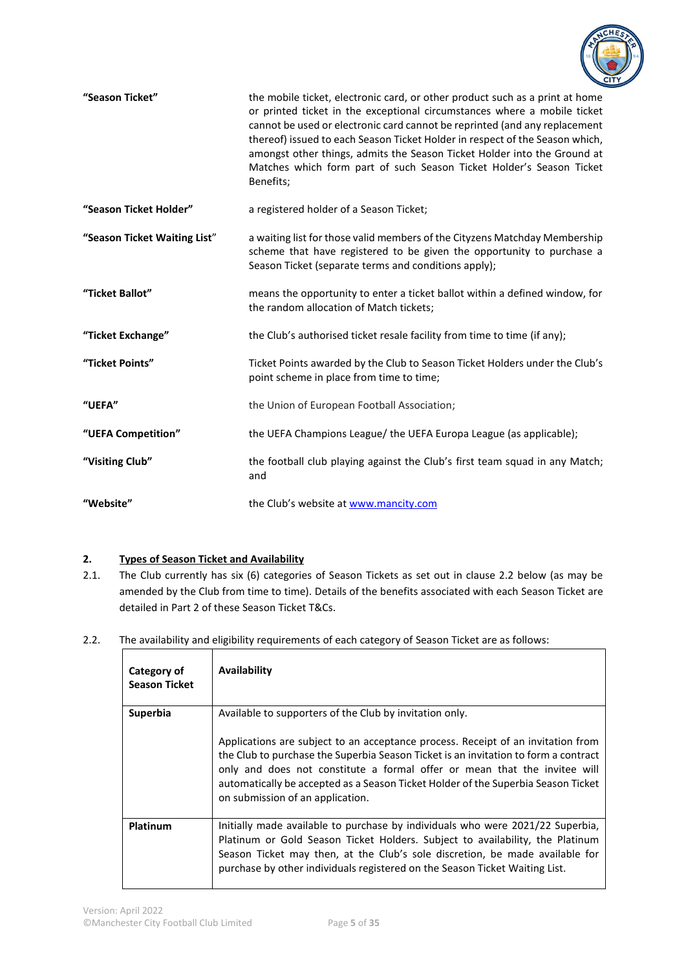

| "Season Ticket"              | the mobile ticket, electronic card, or other product such as a print at home<br>or printed ticket in the exceptional circumstances where a mobile ticket<br>cannot be used or electronic card cannot be reprinted (and any replacement<br>thereof) issued to each Season Ticket Holder in respect of the Season which,<br>amongst other things, admits the Season Ticket Holder into the Ground at<br>Matches which form part of such Season Ticket Holder's Season Ticket<br>Benefits; |  |  |  |
|------------------------------|-----------------------------------------------------------------------------------------------------------------------------------------------------------------------------------------------------------------------------------------------------------------------------------------------------------------------------------------------------------------------------------------------------------------------------------------------------------------------------------------|--|--|--|
| "Season Ticket Holder"       | a registered holder of a Season Ticket;                                                                                                                                                                                                                                                                                                                                                                                                                                                 |  |  |  |
| "Season Ticket Waiting List" | a waiting list for those valid members of the Cityzens Matchday Membership<br>scheme that have registered to be given the opportunity to purchase a<br>Season Ticket (separate terms and conditions apply);                                                                                                                                                                                                                                                                             |  |  |  |
| "Ticket Ballot"              | means the opportunity to enter a ticket ballot within a defined window, for<br>the random allocation of Match tickets;                                                                                                                                                                                                                                                                                                                                                                  |  |  |  |
| "Ticket Exchange"            | the Club's authorised ticket resale facility from time to time (if any);                                                                                                                                                                                                                                                                                                                                                                                                                |  |  |  |
| "Ticket Points"              | Ticket Points awarded by the Club to Season Ticket Holders under the Club's<br>point scheme in place from time to time;                                                                                                                                                                                                                                                                                                                                                                 |  |  |  |
| "UEFA"                       | the Union of European Football Association;                                                                                                                                                                                                                                                                                                                                                                                                                                             |  |  |  |
| "UEFA Competition"           | the UEFA Champions League/ the UEFA Europa League (as applicable);                                                                                                                                                                                                                                                                                                                                                                                                                      |  |  |  |
| "Visiting Club"              | the football club playing against the Club's first team squad in any Match;<br>and                                                                                                                                                                                                                                                                                                                                                                                                      |  |  |  |
| "Website"                    | the Club's website at www.mancity.com                                                                                                                                                                                                                                                                                                                                                                                                                                                   |  |  |  |

# **2. Types of Season Ticket and Availability**

- 2.1. The Club currently has six (6) categories of Season Tickets as set out in clause 2.2 below (as may be amended by the Club from time to time). Details of the benefits associated with each Season Ticket are detailed in Part 2 of these Season Ticket T&Cs.
- 2.2. The availability and eligibility requirements of each category of Season Ticket are as follows:

| Category of<br><b>Season Ticket</b> | Availability                                                                                                                                                                                                                                                                                                                                                                                                                             |
|-------------------------------------|------------------------------------------------------------------------------------------------------------------------------------------------------------------------------------------------------------------------------------------------------------------------------------------------------------------------------------------------------------------------------------------------------------------------------------------|
| <b>Superbia</b>                     | Available to supporters of the Club by invitation only.<br>Applications are subject to an acceptance process. Receipt of an invitation from<br>the Club to purchase the Superbia Season Ticket is an invitation to form a contract<br>only and does not constitute a formal offer or mean that the invitee will<br>automatically be accepted as a Season Ticket Holder of the Superbia Season Ticket<br>on submission of an application. |
| Platinum                            | Initially made available to purchase by individuals who were 2021/22 Superbia,<br>Platinum or Gold Season Ticket Holders. Subject to availability, the Platinum<br>Season Ticket may then, at the Club's sole discretion, be made available for<br>purchase by other individuals registered on the Season Ticket Waiting List.                                                                                                           |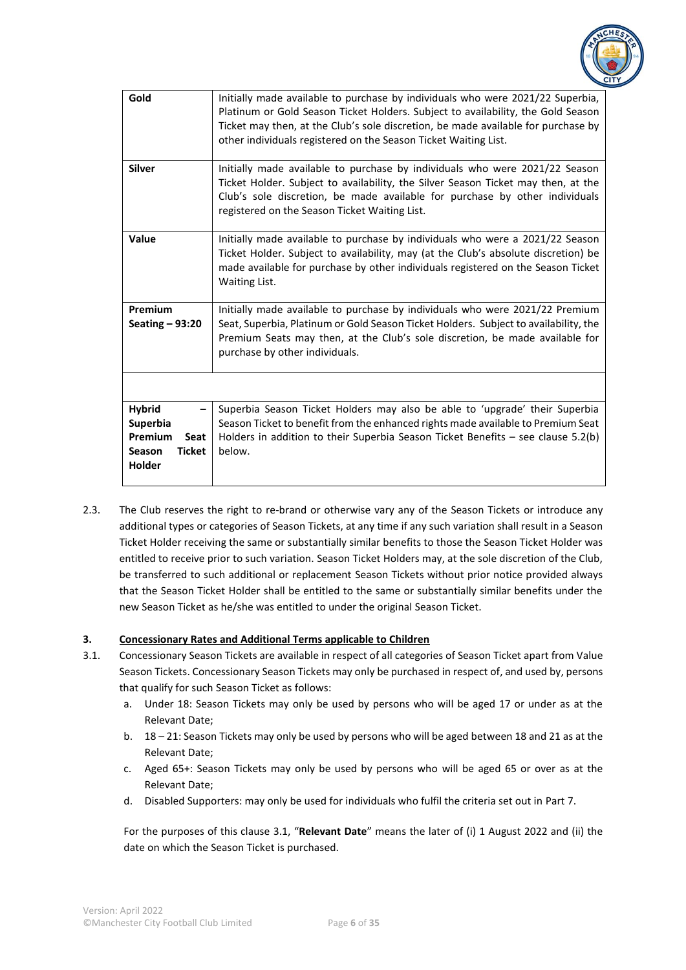

| Gold                                                                                            | Initially made available to purchase by individuals who were 2021/22 Superbia,<br>Platinum or Gold Season Ticket Holders. Subject to availability, the Gold Season<br>Ticket may then, at the Club's sole discretion, be made available for purchase by<br>other individuals registered on the Season Ticket Waiting List. |
|-------------------------------------------------------------------------------------------------|----------------------------------------------------------------------------------------------------------------------------------------------------------------------------------------------------------------------------------------------------------------------------------------------------------------------------|
| <b>Silver</b>                                                                                   | Initially made available to purchase by individuals who were 2021/22 Season<br>Ticket Holder. Subject to availability, the Silver Season Ticket may then, at the<br>Club's sole discretion, be made available for purchase by other individuals<br>registered on the Season Ticket Waiting List.                           |
| Value                                                                                           | Initially made available to purchase by individuals who were a 2021/22 Season<br>Ticket Holder. Subject to availability, may (at the Club's absolute discretion) be<br>made available for purchase by other individuals registered on the Season Ticket<br>Waiting List.                                                   |
| Premium<br>Seating $-93:20$                                                                     | Initially made available to purchase by individuals who were 2021/22 Premium<br>Seat, Superbia, Platinum or Gold Season Ticket Holders. Subject to availability, the<br>Premium Seats may then, at the Club's sole discretion, be made available for<br>purchase by other individuals.                                     |
|                                                                                                 |                                                                                                                                                                                                                                                                                                                            |
| <b>Hybrid</b><br><b>Superbia</b><br>Premium<br>Seat<br><b>Ticket</b><br>Season<br><b>Holder</b> | Superbia Season Ticket Holders may also be able to 'upgrade' their Superbia<br>Season Ticket to benefit from the enhanced rights made available to Premium Seat<br>Holders in addition to their Superbia Season Ticket Benefits $-$ see clause 5.2(b)<br>below.                                                            |

2.3. The Club reserves the right to re-brand or otherwise vary any of the Season Tickets or introduce any additional types or categories of Season Tickets, at any time if any such variation shall result in a Season Ticket Holder receiving the same or substantially similar benefits to those the Season Ticket Holder was entitled to receive prior to such variation. Season Ticket Holders may, at the sole discretion of the Club, be transferred to such additional or replacement Season Tickets without prior notice provided always that the Season Ticket Holder shall be entitled to the same or substantially similar benefits under the new Season Ticket as he/she was entitled to under the original Season Ticket.

# **3. Concessionary Rates and Additional Terms applicable to Children**

- 3.1. Concessionary Season Tickets are available in respect of all categories of Season Ticket apart from Value Season Tickets. Concessionary Season Tickets may only be purchased in respect of, and used by, persons that qualify for such Season Ticket as follows:
	- a. Under 18: Season Tickets may only be used by persons who will be aged 17 or under as at the Relevant Date;
	- b. 18 21: Season Tickets may only be used by persons who will be aged between 18 and 21 as at the Relevant Date;
	- c. Aged 65+: Season Tickets may only be used by persons who will be aged 65 or over as at the Relevant Date;
	- d. Disabled Supporters: may only be used for individuals who fulfil the criteria set out in Part 7.

For the purposes of this clause 3.1, "**Relevant Date**" means the later of (i) 1 August 2022 and (ii) the date on which the Season Ticket is purchased.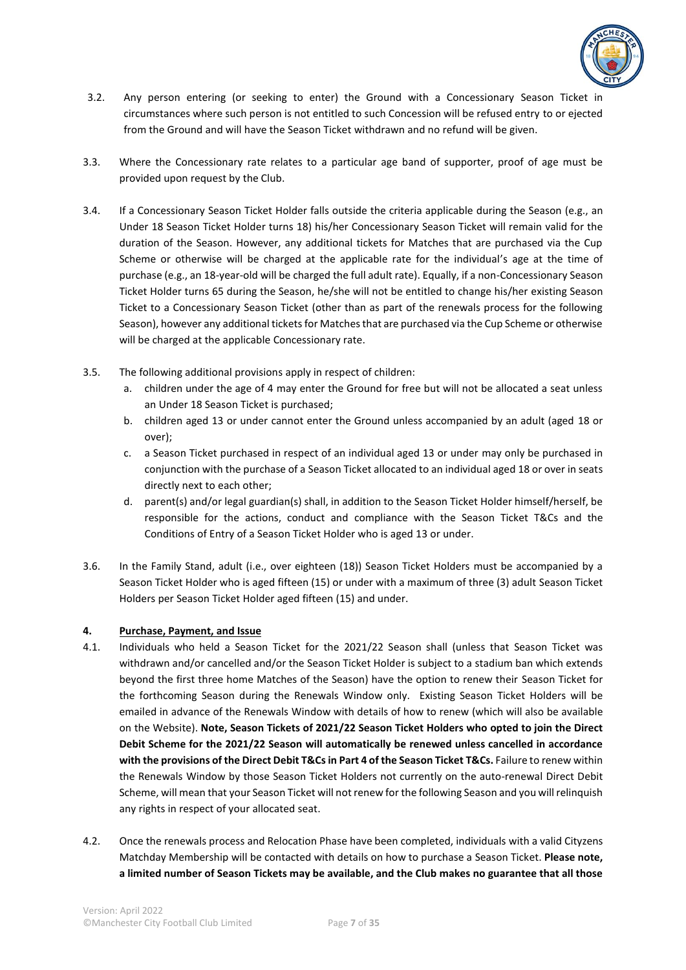

- 3.2. Any person entering (or seeking to enter) the Ground with a Concessionary Season Ticket in circumstances where such person is not entitled to such Concession will be refused entry to or ejected from the Ground and will have the Season Ticket withdrawn and no refund will be given.
- 3.3. Where the Concessionary rate relates to a particular age band of supporter, proof of age must be provided upon request by the Club.
- 3.4. If a Concessionary Season Ticket Holder falls outside the criteria applicable during the Season (e.g., an Under 18 Season Ticket Holder turns 18) his/her Concessionary Season Ticket will remain valid for the duration of the Season. However, any additional tickets for Matches that are purchased via the Cup Scheme or otherwise will be charged at the applicable rate for the individual's age at the time of purchase (e.g., an 18-year-old will be charged the full adult rate). Equally, if a non-Concessionary Season Ticket Holder turns 65 during the Season, he/she will not be entitled to change his/her existing Season Ticket to a Concessionary Season Ticket (other than as part of the renewals process for the following Season), however any additional tickets for Matches that are purchased via the Cup Scheme or otherwise will be charged at the applicable Concessionary rate.
- 3.5. The following additional provisions apply in respect of children:
	- a. children under the age of 4 may enter the Ground for free but will not be allocated a seat unless an Under 18 Season Ticket is purchased;
	- b. children aged 13 or under cannot enter the Ground unless accompanied by an adult (aged 18 or over);
	- c. a Season Ticket purchased in respect of an individual aged 13 or under may only be purchased in conjunction with the purchase of a Season Ticket allocated to an individual aged 18 or over in seats directly next to each other;
	- d. parent(s) and/or legal guardian(s) shall, in addition to the Season Ticket Holder himself/herself, be responsible for the actions, conduct and compliance with the Season Ticket T&Cs and the Conditions of Entry of a Season Ticket Holder who is aged 13 or under.
- 3.6. In the Family Stand, adult (i.e., over eighteen (18)) Season Ticket Holders must be accompanied by a Season Ticket Holder who is aged fifteen (15) or under with a maximum of three (3) adult Season Ticket Holders per Season Ticket Holder aged fifteen (15) and under.

# **4. Purchase, Payment, and Issue**

- 4.1. Individuals who held a Season Ticket for the 2021/22 Season shall (unless that Season Ticket was withdrawn and/or cancelled and/or the Season Ticket Holder is subject to a stadium ban which extends beyond the first three home Matches of the Season) have the option to renew their Season Ticket for the forthcoming Season during the Renewals Window only. Existing Season Ticket Holders will be emailed in advance of the Renewals Window with details of how to renew (which will also be available on the Website). **Note, Season Tickets of 2021/22 Season Ticket Holders who opted to join the Direct Debit Scheme for the 2021/22 Season will automatically be renewed unless cancelled in accordance with the provisions of the Direct Debit T&Cs in Part 4 of the Season Ticket T&Cs.** Failure to renew within the Renewals Window by those Season Ticket Holders not currently on the auto-renewal Direct Debit Scheme, will mean that your Season Ticket will not renew for the following Season and you will relinquish any rights in respect of your allocated seat.
- 4.2. Once the renewals process and Relocation Phase have been completed, individuals with a valid Cityzens Matchday Membership will be contacted with details on how to purchase a Season Ticket. **Please note, a limited number of Season Tickets may be available, and the Club makes no guarantee that all those**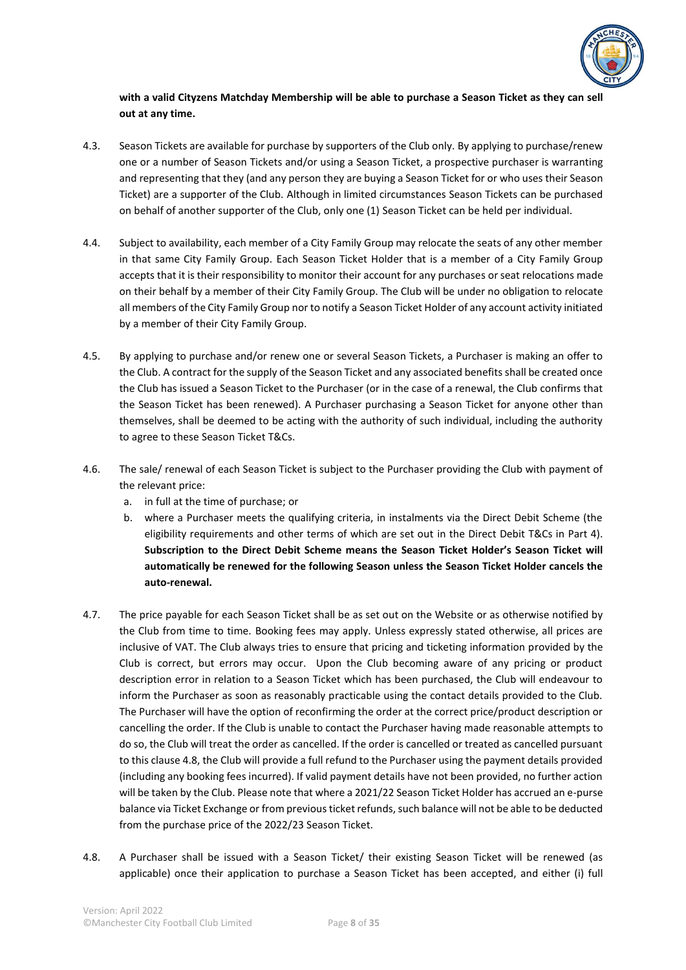

# **with a valid Cityzens Matchday Membership will be able to purchase a Season Ticket as they can sell out at any time.**

- 4.3. Season Tickets are available for purchase by supporters of the Club only. By applying to purchase/renew one or a number of Season Tickets and/or using a Season Ticket, a prospective purchaser is warranting and representing that they (and any person they are buying a Season Ticket for or who uses their Season Ticket) are a supporter of the Club. Although in limited circumstances Season Tickets can be purchased on behalf of another supporter of the Club, only one (1) Season Ticket can be held per individual.
- 4.4. Subject to availability, each member of a City Family Group may relocate the seats of any other member in that same City Family Group. Each Season Ticket Holder that is a member of a City Family Group accepts that it is their responsibility to monitor their account for any purchases or seat relocations made on their behalf by a member of their City Family Group. The Club will be under no obligation to relocate all members of the City Family Group nor to notify a Season Ticket Holder of any account activity initiated by a member of their City Family Group.
- 4.5. By applying to purchase and/or renew one or several Season Tickets, a Purchaser is making an offer to the Club. A contract for the supply of the Season Ticket and any associated benefits shall be created once the Club has issued a Season Ticket to the Purchaser (or in the case of a renewal, the Club confirms that the Season Ticket has been renewed). A Purchaser purchasing a Season Ticket for anyone other than themselves, shall be deemed to be acting with the authority of such individual, including the authority to agree to these Season Ticket T&Cs.
- 4.6. The sale/ renewal of each Season Ticket is subject to the Purchaser providing the Club with payment of the relevant price:
	- a. in full at the time of purchase; or
	- b. where a Purchaser meets the qualifying criteria, in instalments via the Direct Debit Scheme (the eligibility requirements and other terms of which are set out in the Direct Debit T&Cs in Part 4). **Subscription to the Direct Debit Scheme means the Season Ticket Holder's Season Ticket will automatically be renewed for the following Season unless the Season Ticket Holder cancels the auto-renewal.**
- 4.7. The price payable for each Season Ticket shall be as set out on the Website or as otherwise notified by the Club from time to time. Booking fees may apply. Unless expressly stated otherwise, all prices are inclusive of VAT. The Club always tries to ensure that pricing and ticketing information provided by the Club is correct, but errors may occur. Upon the Club becoming aware of any pricing or product description error in relation to a Season Ticket which has been purchased, the Club will endeavour to inform the Purchaser as soon as reasonably practicable using the contact details provided to the Club. The Purchaser will have the option of reconfirming the order at the correct price/product description or cancelling the order. If the Club is unable to contact the Purchaser having made reasonable attempts to do so, the Club will treat the order as cancelled. If the order is cancelled or treated as cancelled pursuant to this clause 4.8, the Club will provide a full refund to the Purchaser using the payment details provided (including any booking fees incurred). If valid payment details have not been provided, no further action will be taken by the Club. Please note that where a 2021/22 Season Ticket Holder has accrued an e-purse balance via Ticket Exchange or from previous ticket refunds, such balance will not be able to be deducted from the purchase price of the 2022/23 Season Ticket.
- 4.8. A Purchaser shall be issued with a Season Ticket/ their existing Season Ticket will be renewed (as applicable) once their application to purchase a Season Ticket has been accepted, and either (i) full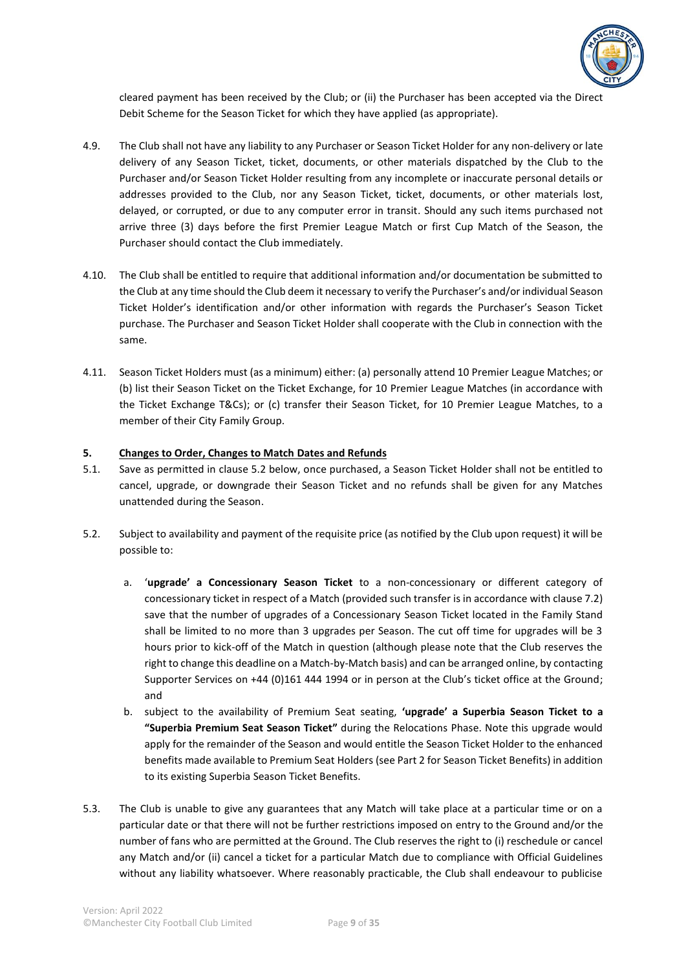

cleared payment has been received by the Club; or (ii) the Purchaser has been accepted via the Direct Debit Scheme for the Season Ticket for which they have applied (as appropriate).

- 4.9. The Club shall not have any liability to any Purchaser or Season Ticket Holder for any non-delivery or late delivery of any Season Ticket, ticket, documents, or other materials dispatched by the Club to the Purchaser and/or Season Ticket Holder resulting from any incomplete or inaccurate personal details or addresses provided to the Club, nor any Season Ticket, ticket, documents, or other materials lost, delayed, or corrupted, or due to any computer error in transit. Should any such items purchased not arrive three (3) days before the first Premier League Match or first Cup Match of the Season, the Purchaser should contact the Club immediately.
- 4.10. The Club shall be entitled to require that additional information and/or documentation be submitted to the Club at any time should the Club deem it necessary to verify the Purchaser's and/or individual Season Ticket Holder's identification and/or other information with regards the Purchaser's Season Ticket purchase. The Purchaser and Season Ticket Holder shall cooperate with the Club in connection with the same.
- 4.11. Season Ticket Holders must (as a minimum) either: (a) personally attend 10 Premier League Matches; or (b) list their Season Ticket on the Ticket Exchange, for 10 Premier League Matches (in accordance with the Ticket Exchange T&Cs); or (c) transfer their Season Ticket, for 10 Premier League Matches, to a member of their City Family Group.

#### **5. Changes to Order, Changes to Match Dates and Refunds**

- 5.1. Save as permitted in clause 5.2 below, once purchased, a Season Ticket Holder shall not be entitled to cancel, upgrade, or downgrade their Season Ticket and no refunds shall be given for any Matches unattended during the Season.
- 5.2. Subject to availability and payment of the requisite price (as notified by the Club upon request) it will be possible to:
	- a. '**upgrade' a Concessionary Season Ticket** to a non-concessionary or different category of concessionary ticket in respect of a Match (provided such transfer is in accordance with clause 7.2) save that the number of upgrades of a Concessionary Season Ticket located in the Family Stand shall be limited to no more than 3 upgrades per Season. The cut off time for upgrades will be 3 hours prior to kick-off of the Match in question (although please note that the Club reserves the right to change this deadline on a Match-by-Match basis) and can be arranged online, by contacting Supporter Services on +44 (0)161 444 1994 or in person at the Club's ticket office at the Ground; and
	- b. subject to the availability of Premium Seat seating, **'upgrade' a Superbia Season Ticket to a "Superbia Premium Seat Season Ticket"** during the Relocations Phase. Note this upgrade would apply for the remainder of the Season and would entitle the Season Ticket Holder to the enhanced benefits made available to Premium Seat Holders (see Part 2 for Season Ticket Benefits) in addition to its existing Superbia Season Ticket Benefits.
- 5.3. The Club is unable to give any guarantees that any Match will take place at a particular time or on a particular date or that there will not be further restrictions imposed on entry to the Ground and/or the number of fans who are permitted at the Ground. The Club reserves the right to (i) reschedule or cancel any Match and/or (ii) cancel a ticket for a particular Match due to compliance with Official Guidelines without any liability whatsoever. Where reasonably practicable, the Club shall endeavour to publicise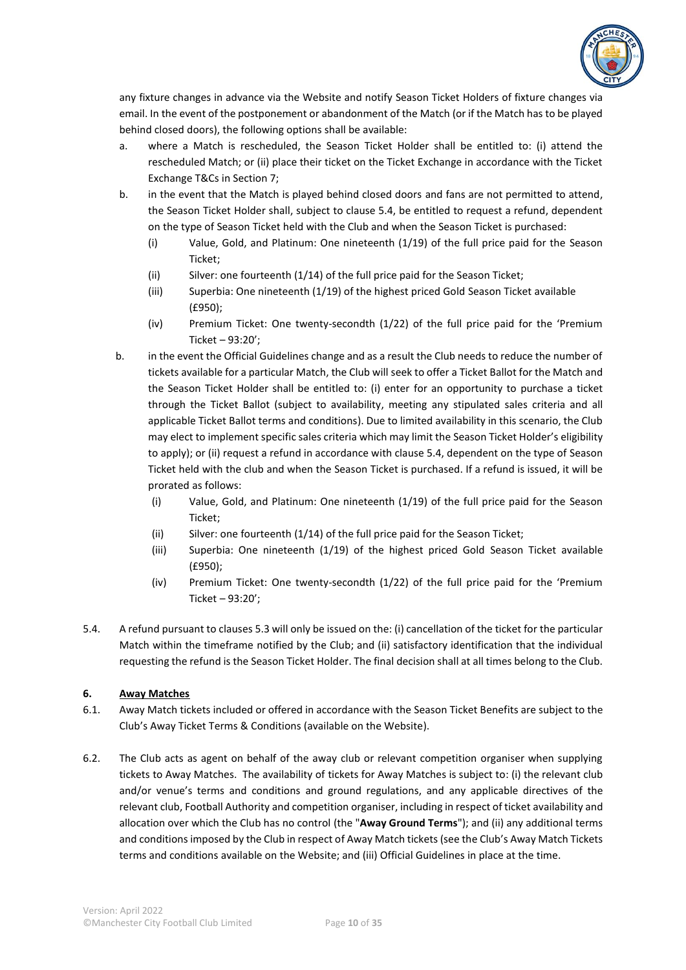

any fixture changes in advance via the Website and notify Season Ticket Holders of fixture changes via email. In the event of the postponement or abandonment of the Match (or if the Match has to be played behind closed doors), the following options shall be available:

- a. where a Match is rescheduled, the Season Ticket Holder shall be entitled to: (i) attend the rescheduled Match; or (ii) place their ticket on the Ticket Exchange in accordance with the Ticket Exchange T&Cs in Section 7;
- b. in the event that the Match is played behind closed doors and fans are not permitted to attend, the Season Ticket Holder shall, subject to clause 5.4, be entitled to request a refund, dependent on the type of Season Ticket held with the Club and when the Season Ticket is purchased:
	- (i) Value, Gold, and Platinum: One nineteenth (1/19) of the full price paid for the Season Ticket;
	- (ii) Silver: one fourteenth (1/14) of the full price paid for the Season Ticket;
	- (iii) Superbia: One nineteenth (1/19) of the highest priced Gold Season Ticket available (£950);
	- (iv) Premium Ticket: One twenty-secondth (1/22) of the full price paid for the 'Premium Ticket – 93:20';
- b. in the event the Official Guidelines change and as a result the Club needs to reduce the number of tickets available for a particular Match, the Club will seek to offer a Ticket Ballot for the Match and the Season Ticket Holder shall be entitled to: (i) enter for an opportunity to purchase a ticket through the Ticket Ballot (subject to availability, meeting any stipulated sales criteria and all applicable Ticket Ballot terms and conditions). Due to limited availability in this scenario, the Club may elect to implement specific sales criteria which may limit the Season Ticket Holder's eligibility to apply); or (ii) request a refund in accordance with clause 5.4, dependent on the type of Season Ticket held with the club and when the Season Ticket is purchased. If a refund is issued, it will be prorated as follows:
	- (i) Value, Gold, and Platinum: One nineteenth (1/19) of the full price paid for the Season Ticket;
	- (ii) Silver: one fourteenth (1/14) of the full price paid for the Season Ticket;
	- (iii) Superbia: One nineteenth (1/19) of the highest priced Gold Season Ticket available (£950);
	- (iv) Premium Ticket: One twenty-secondth (1/22) of the full price paid for the 'Premium Ticket – 93:20';
- 5.4. A refund pursuant to clauses 5.3 will only be issued on the: (i) cancellation of the ticket for the particular Match within the timeframe notified by the Club; and (ii) satisfactory identification that the individual requesting the refund is the Season Ticket Holder. The final decision shall at all times belong to the Club.

# **6. Away Matches**

- 6.1. Away Match tickets included or offered in accordance with the Season Ticket Benefits are subject to the Club's Away Ticket Terms & Conditions (available on the Website).
- 6.2. The Club acts as agent on behalf of the away club or relevant competition organiser when supplying tickets to Away Matches. The availability of tickets for Away Matches is subject to: (i) the relevant club and/or venue's terms and conditions and ground regulations, and any applicable directives of the relevant club, Football Authority and competition organiser, including in respect of ticket availability and allocation over which the Club has no control (the "**Away Ground Terms**"); and (ii) any additional terms and conditions imposed by the Club in respect of Away Match tickets (see the Club's Away Match Tickets terms and conditions available on the Website; and (iii) Official Guidelines in place at the time.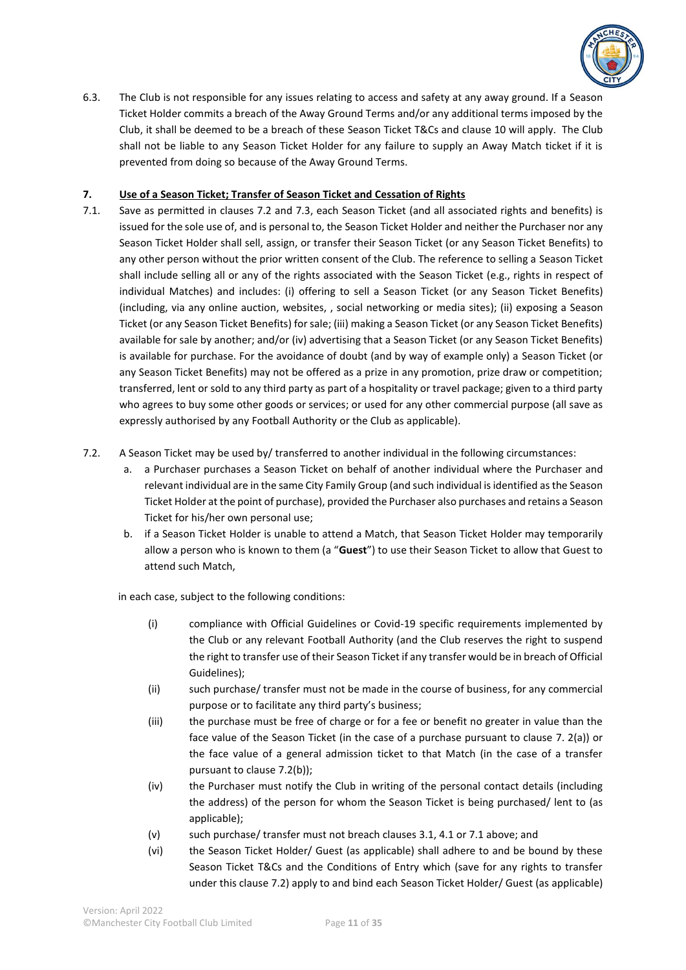

6.3. The Club is not responsible for any issues relating to access and safety at any away ground. If a Season Ticket Holder commits a breach of the Away Ground Terms and/or any additional terms imposed by the Club, it shall be deemed to be a breach of these Season Ticket T&Cs and clause 10 will apply. The Club shall not be liable to any Season Ticket Holder for any failure to supply an Away Match ticket if it is prevented from doing so because of the Away Ground Terms.

# **7. Use of a Season Ticket; Transfer of Season Ticket and Cessation of Rights**

- 7.1. Save as permitted in clauses 7.2 and 7.3, each Season Ticket (and all associated rights and benefits) is issued for the sole use of, and is personal to, the Season Ticket Holder and neither the Purchaser nor any Season Ticket Holder shall sell, assign, or transfer their Season Ticket (or any Season Ticket Benefits) to any other person without the prior written consent of the Club. The reference to selling a Season Ticket shall include selling all or any of the rights associated with the Season Ticket (e.g., rights in respect of individual Matches) and includes: (i) offering to sell a Season Ticket (or any Season Ticket Benefits) (including, via any online auction, websites, , social networking or media sites); (ii) exposing a Season Ticket (or any Season Ticket Benefits) for sale; (iii) making a Season Ticket (or any Season Ticket Benefits) available for sale by another; and/or (iv) advertising that a Season Ticket (or any Season Ticket Benefits) is available for purchase. For the avoidance of doubt (and by way of example only) a Season Ticket (or any Season Ticket Benefits) may not be offered as a prize in any promotion, prize draw or competition; transferred, lent or sold to any third party as part of a hospitality or travel package; given to a third party who agrees to buy some other goods or services; or used for any other commercial purpose (all save as expressly authorised by any Football Authority or the Club as applicable).
- 7.2. A Season Ticket may be used by/ transferred to another individual in the following circumstances:
	- a. a Purchaser purchases a Season Ticket on behalf of another individual where the Purchaser and relevant individual are in the same City Family Group (and such individual is identified as the Season Ticket Holder at the point of purchase), provided the Purchaser also purchases and retains a Season Ticket for his/her own personal use;
	- b. if a Season Ticket Holder is unable to attend a Match, that Season Ticket Holder may temporarily allow a person who is known to them (a "**Guest**") to use their Season Ticket to allow that Guest to attend such Match,

in each case, subject to the following conditions:

- (i) compliance with Official Guidelines or Covid-19 specific requirements implemented by the Club or any relevant Football Authority (and the Club reserves the right to suspend the right to transfer use of their Season Ticket if any transfer would be in breach of Official Guidelines);
- (ii) such purchase/ transfer must not be made in the course of business, for any commercial purpose or to facilitate any third party's business;
- (iii) the purchase must be free of charge or for a fee or benefit no greater in value than the face value of the Season Ticket (in the case of a purchase pursuant to clause 7. 2(a)) or the face value of a general admission ticket to that Match (in the case of a transfer pursuant to clause 7.2(b));
- (iv) the Purchaser must notify the Club in writing of the personal contact details (including the address) of the person for whom the Season Ticket is being purchased/ lent to (as applicable);
- (v) such purchase/ transfer must not breach clauses 3.1, 4.1 or 7.1 above; and
- (vi) the Season Ticket Holder/ Guest (as applicable) shall adhere to and be bound by these Season Ticket T&Cs and the Conditions of Entry which (save for any rights to transfer under this clause 7.2) apply to and bind each Season Ticket Holder/ Guest (as applicable)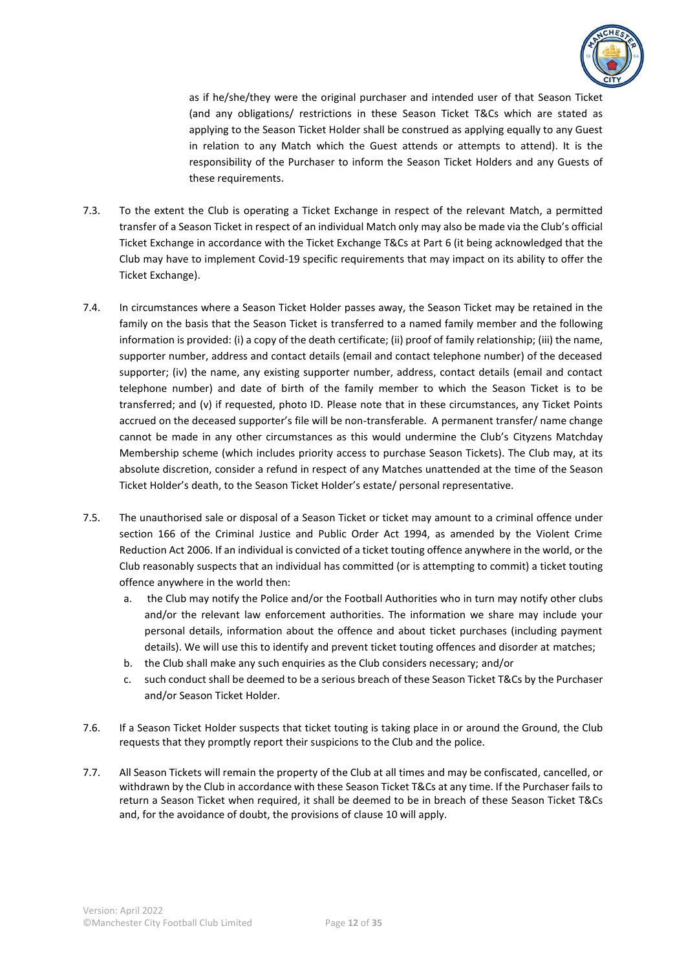

as if he/she/they were the original purchaser and intended user of that Season Ticket (and any obligations/ restrictions in these Season Ticket T&Cs which are stated as applying to the Season Ticket Holder shall be construed as applying equally to any Guest in relation to any Match which the Guest attends or attempts to attend). It is the responsibility of the Purchaser to inform the Season Ticket Holders and any Guests of these requirements.

- 7.3. To the extent the Club is operating a Ticket Exchange in respect of the relevant Match, a permitted transfer of a Season Ticket in respect of an individual Match only may also be made via the Club's official Ticket Exchange in accordance with the Ticket Exchange T&Cs at Part 6 (it being acknowledged that the Club may have to implement Covid-19 specific requirements that may impact on its ability to offer the Ticket Exchange).
- 7.4. In circumstances where a Season Ticket Holder passes away, the Season Ticket may be retained in the family on the basis that the Season Ticket is transferred to a named family member and the following information is provided: (i) a copy of the death certificate; (ii) proof of family relationship; (iii) the name, supporter number, address and contact details (email and contact telephone number) of the deceased supporter; (iv) the name, any existing supporter number, address, contact details (email and contact telephone number) and date of birth of the family member to which the Season Ticket is to be transferred; and (v) if requested, photo ID. Please note that in these circumstances, any Ticket Points accrued on the deceased supporter's file will be non-transferable. A permanent transfer/ name change cannot be made in any other circumstances as this would undermine the Club's Cityzens Matchday Membership scheme (which includes priority access to purchase Season Tickets). The Club may, at its absolute discretion, consider a refund in respect of any Matches unattended at the time of the Season Ticket Holder's death, to the Season Ticket Holder's estate/ personal representative.
- 7.5. The unauthorised sale or disposal of a Season Ticket or ticket may amount to a criminal offence under section 166 of the Criminal Justice and Public Order Act 1994, as amended by the Violent Crime Reduction Act 2006. If an individual is convicted of a ticket touting offence anywhere in the world, or the Club reasonably suspects that an individual has committed (or is attempting to commit) a ticket touting offence anywhere in the world then:
	- a. the Club may notify the Police and/or the Football Authorities who in turn may notify other clubs and/or the relevant law enforcement authorities. The information we share may include your personal details, information about the offence and about ticket purchases (including payment details). We will use this to identify and prevent ticket touting offences and disorder at matches;
	- b. the Club shall make any such enquiries as the Club considers necessary; and/or
	- c. such conduct shall be deemed to be a serious breach of these Season Ticket T&Cs by the Purchaser and/or Season Ticket Holder.
- 7.6. If a Season Ticket Holder suspects that ticket touting is taking place in or around the Ground, the Club requests that they promptly report their suspicions to the Club and the police.
- 7.7. All Season Tickets will remain the property of the Club at all times and may be confiscated, cancelled, or withdrawn by the Club in accordance with these Season Ticket T&Cs at any time. If the Purchaser fails to return a Season Ticket when required, it shall be deemed to be in breach of these Season Ticket T&Cs and, for the avoidance of doubt, the provisions of clause 10 will apply.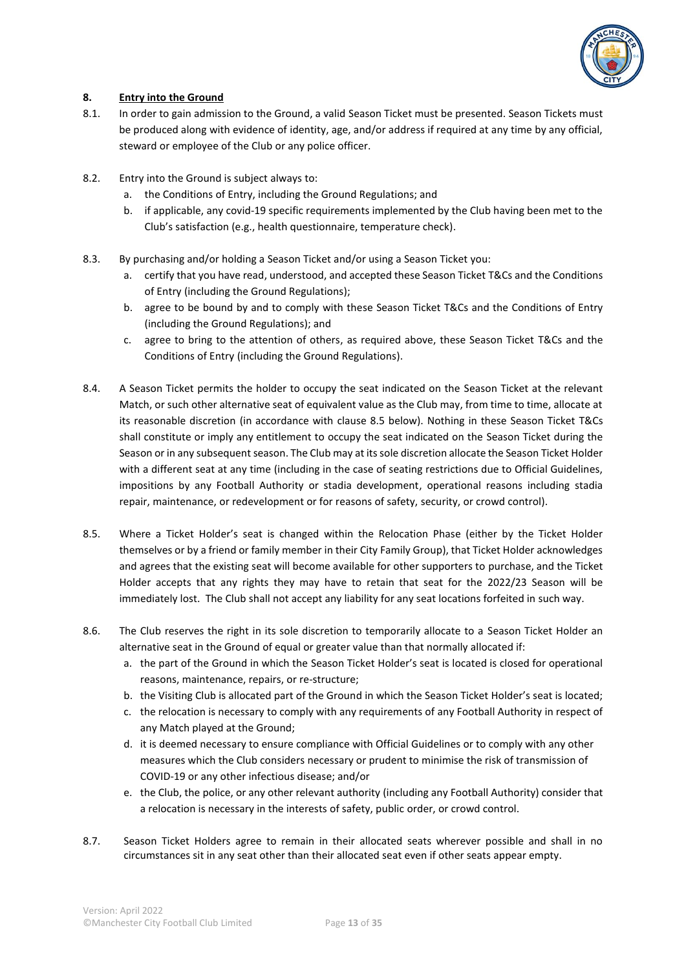

# **8. Entry into the Ground**

- 8.1. In order to gain admission to the Ground, a valid Season Ticket must be presented. Season Tickets must be produced along with evidence of identity, age, and/or address if required at any time by any official, steward or employee of the Club or any police officer.
- 8.2. Entry into the Ground is subject always to:
	- a. the Conditions of Entry, including the Ground Regulations; and
	- b. if applicable, any covid-19 specific requirements implemented by the Club having been met to the Club's satisfaction (e.g., health questionnaire, temperature check).
- 8.3. By purchasing and/or holding a Season Ticket and/or using a Season Ticket you:
	- a. certify that you have read, understood, and accepted these Season Ticket T&Cs and the Conditions of Entry (including the Ground Regulations);
	- b. agree to be bound by and to comply with these Season Ticket T&Cs and the Conditions of Entry (including the Ground Regulations); and
	- c. agree to bring to the attention of others, as required above, these Season Ticket T&Cs and the Conditions of Entry (including the Ground Regulations).
- 8.4. A Season Ticket permits the holder to occupy the seat indicated on the Season Ticket at the relevant Match, or such other alternative seat of equivalent value as the Club may, from time to time, allocate at its reasonable discretion (in accordance with clause 8.5 below). Nothing in these Season Ticket T&Cs shall constitute or imply any entitlement to occupy the seat indicated on the Season Ticket during the Season or in any subsequent season. The Club may at its sole discretion allocate the Season Ticket Holder with a different seat at any time (including in the case of seating restrictions due to Official Guidelines, impositions by any Football Authority or stadia development, operational reasons including stadia repair, maintenance, or redevelopment or for reasons of safety, security, or crowd control).
- 8.5. Where a Ticket Holder's seat is changed within the Relocation Phase (either by the Ticket Holder themselves or by a friend or family member in their City Family Group), that Ticket Holder acknowledges and agrees that the existing seat will become available for other supporters to purchase, and the Ticket Holder accepts that any rights they may have to retain that seat for the 2022/23 Season will be immediately lost. The Club shall not accept any liability for any seat locations forfeited in such way.
- 8.6. The Club reserves the right in its sole discretion to temporarily allocate to a Season Ticket Holder an alternative seat in the Ground of equal or greater value than that normally allocated if:
	- a. the part of the Ground in which the Season Ticket Holder's seat is located is closed for operational reasons, maintenance, repairs, or re-structure;
	- b. the Visiting Club is allocated part of the Ground in which the Season Ticket Holder's seat is located;
	- c. the relocation is necessary to comply with any requirements of any Football Authority in respect of any Match played at the Ground;
	- d. it is deemed necessary to ensure compliance with Official Guidelines or to comply with any other measures which the Club considers necessary or prudent to minimise the risk of transmission of COVID-19 or any other infectious disease; and/or
	- e. the Club, the police, or any other relevant authority (including any Football Authority) consider that a relocation is necessary in the interests of safety, public order, or crowd control.
- 8.7. Season Ticket Holders agree to remain in their allocated seats wherever possible and shall in no circumstances sit in any seat other than their allocated seat even if other seats appear empty.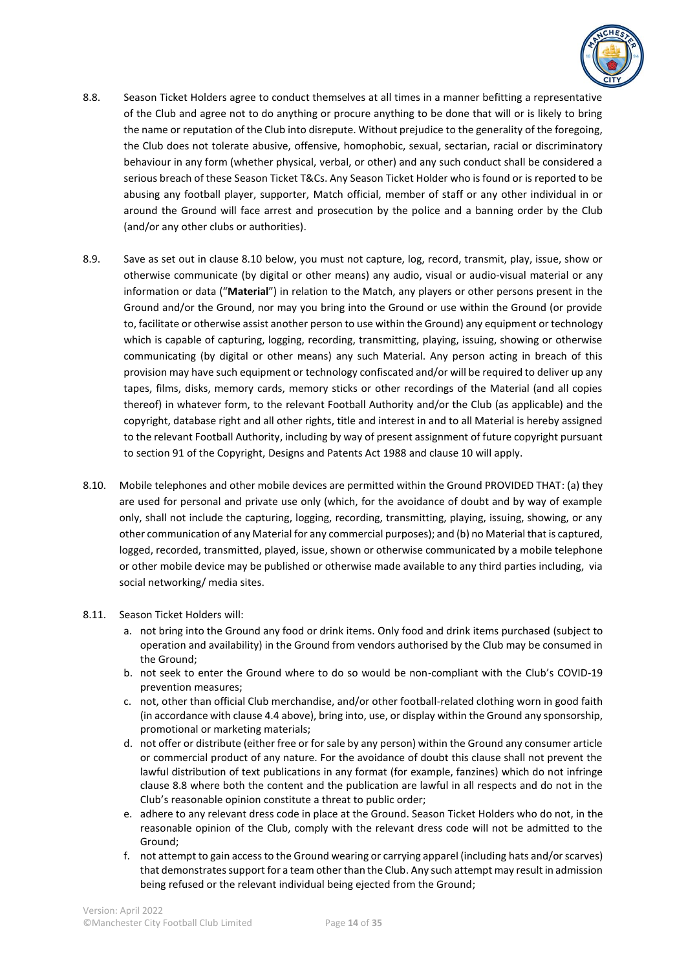

- 8.8. Season Ticket Holders agree to conduct themselves at all times in a manner befitting a representative of the Club and agree not to do anything or procure anything to be done that will or is likely to bring the name or reputation of the Club into disrepute. Without prejudice to the generality of the foregoing, the Club does not tolerate abusive, offensive, homophobic, sexual, sectarian, racial or discriminatory behaviour in any form (whether physical, verbal, or other) and any such conduct shall be considered a serious breach of these Season Ticket T&Cs. Any Season Ticket Holder who is found or is reported to be abusing any football player, supporter, Match official, member of staff or any other individual in or around the Ground will face arrest and prosecution by the police and a banning order by the Club (and/or any other clubs or authorities).
- 8.9. Save as set out in clause 8.10 below, you must not capture, log, record, transmit, play, issue, show or otherwise communicate (by digital or other means) any audio, visual or audio-visual material or any information or data ("**Material**") in relation to the Match, any players or other persons present in the Ground and/or the Ground, nor may you bring into the Ground or use within the Ground (or provide to, facilitate or otherwise assist another person to use within the Ground) any equipment or technology which is capable of capturing, logging, recording, transmitting, playing, issuing, showing or otherwise communicating (by digital or other means) any such Material. Any person acting in breach of this provision may have such equipment or technology confiscated and/or will be required to deliver up any tapes, films, disks, memory cards, memory sticks or other recordings of the Material (and all copies thereof) in whatever form, to the relevant Football Authority and/or the Club (as applicable) and the copyright, database right and all other rights, title and interest in and to all Material is hereby assigned to the relevant Football Authority, including by way of present assignment of future copyright pursuant to section 91 of the Copyright, Designs and Patents Act 1988 and clause 10 will apply.
- 8.10. Mobile telephones and other mobile devices are permitted within the Ground PROVIDED THAT: (a) they are used for personal and private use only (which, for the avoidance of doubt and by way of example only, shall not include the capturing, logging, recording, transmitting, playing, issuing, showing, or any other communication of any Material for any commercial purposes); and (b) no Material that is captured, logged, recorded, transmitted, played, issue, shown or otherwise communicated by a mobile telephone or other mobile device may be published or otherwise made available to any third parties including, via social networking/ media sites.

#### 8.11. Season Ticket Holders will:

- a. not bring into the Ground any food or drink items. Only food and drink items purchased (subject to operation and availability) in the Ground from vendors authorised by the Club may be consumed in the Ground;
- b. not seek to enter the Ground where to do so would be non-compliant with the Club's COVID-19 prevention measures;
- c. not, other than official Club merchandise, and/or other football-related clothing worn in good faith (in accordance with clause 4.4 above), bring into, use, or display within the Ground any sponsorship, promotional or marketing materials;
- d. not offer or distribute (either free or for sale by any person) within the Ground any consumer article or commercial product of any nature. For the avoidance of doubt this clause shall not prevent the lawful distribution of text publications in any format (for example, fanzines) which do not infringe clause 8.8 where both the content and the publication are lawful in all respects and do not in the Club's reasonable opinion constitute a threat to public order;
- e. adhere to any relevant dress code in place at the Ground. Season Ticket Holders who do not, in the reasonable opinion of the Club, comply with the relevant dress code will not be admitted to the Ground;
- f. not attempt to gain access to the Ground wearing or carrying apparel (including hats and/or scarves) that demonstrates support for a team other than the Club. Any such attempt may result in admission being refused or the relevant individual being ejected from the Ground;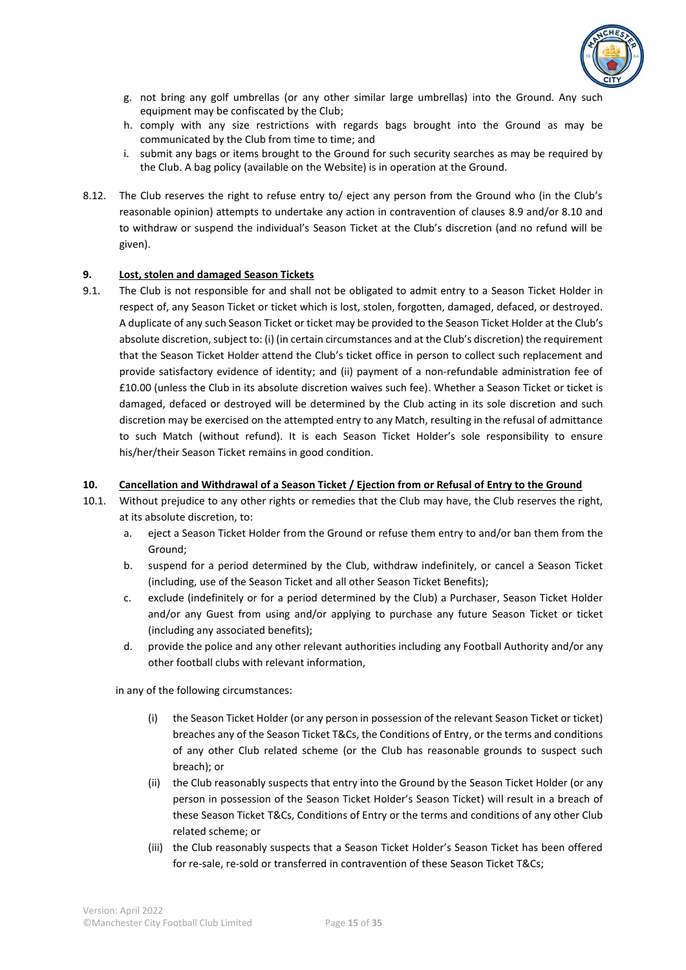

- g. not bring any golf umbrellas (or any other similar large umbrellas) into the Ground. Any such equipment may be confiscated by the Club;
- h. comply with any size restrictions with regards bags brought into the Ground as may be communicated by the Club from time to time; and
- i. submit any bags or items brought to the Ground for such security searches as may be required by the Club. A bag policy (available on the Website) is in operation at the Ground.
- 8.12. The Club reserves the right to refuse entry to/ eject any person from the Ground who (in the Club's reasonable opinion) attempts to undertake any action in contravention of clauses 8.9 and/or 8.10 and to withdraw or suspend the individual's Season Ticket at the Club's discretion (and no refund will be given).

#### **9. Lost, stolen and damaged Season Tickets**

9.1. The Club is not responsible for and shall not be obligated to admit entry to a Season Ticket Holder in respect of, any Season Ticket or ticket which is lost, stolen, forgotten, damaged, defaced, or destroyed. A duplicate of any such Season Ticket or ticket may be provided to the Season Ticket Holder at the Club's absolute discretion, subject to: (i) (in certain circumstances and at the Club's discretion) the requirement that the Season Ticket Holder attend the Club's ticket office in person to collect such replacement and provide satisfactory evidence of identity; and (ii) payment of a non-refundable administration fee of £10.00 (unless the Club in its absolute discretion waives such fee). Whether a Season Ticket or ticket is damaged, defaced or destroyed will be determined by the Club acting in its sole discretion and such discretion may be exercised on the attempted entry to any Match, resulting in the refusal of admittance to such Match (without refund). It is each Season Ticket Holder's sole responsibility to ensure his/her/their Season Ticket remains in good condition.

#### **10. Cancellation and Withdrawal of a Season Ticket / Ejection from or Refusal of Entry to the Ground**

- 10.1. Without prejudice to any other rights or remedies that the Club may have, the Club reserves the right, at its absolute discretion, to:
	- a. eject a Season Ticket Holder from the Ground or refuse them entry to and/or ban them from the Ground;
	- b. suspend for a period determined by the Club, withdraw indefinitely, or cancel a Season Ticket (including, use of the Season Ticket and all other Season Ticket Benefits);
	- c. exclude (indefinitely or for a period determined by the Club) a Purchaser, Season Ticket Holder and/or any Guest from using and/or applying to purchase any future Season Ticket or ticket (including any associated benefits);
	- d. provide the police and any other relevant authorities including any Football Authority and/or any other football clubs with relevant information,

in any of the following circumstances:

- (i) the Season Ticket Holder (or any person in possession of the relevant Season Ticket or ticket) breaches any of the Season Ticket T&Cs, the Conditions of Entry, or the terms and conditions of any other Club related scheme (or the Club has reasonable grounds to suspect such breach); or
- (ii) the Club reasonably suspects that entry into the Ground by the Season Ticket Holder (or any person in possession of the Season Ticket Holder's Season Ticket) will result in a breach of these Season Ticket T&Cs, Conditions of Entry or the terms and conditions of any other Club related scheme; or
- (iii) the Club reasonably suspects that a Season Ticket Holder's Season Ticket has been offered for re-sale, re-sold or transferred in contravention of these Season Ticket T&Cs;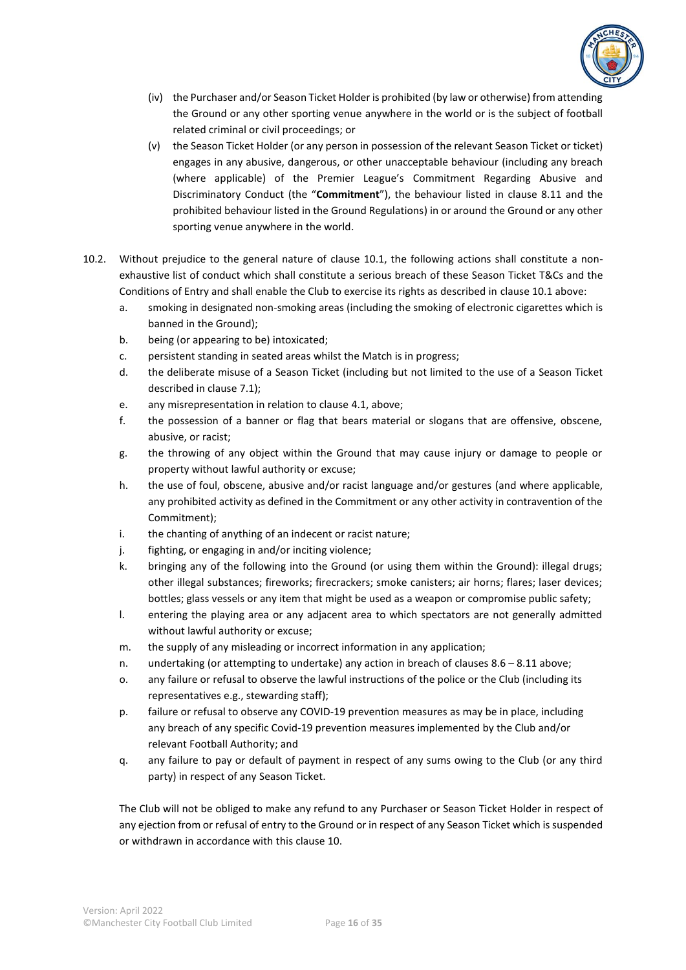

- (iv) the Purchaser and/or Season Ticket Holder is prohibited (by law or otherwise) from attending the Ground or any other sporting venue anywhere in the world or is the subject of football related criminal or civil proceedings; or
- (v) the Season Ticket Holder (or any person in possession of the relevant Season Ticket or ticket) engages in any abusive, dangerous, or other unacceptable behaviour (including any breach (where applicable) of the Premier League's Commitment Regarding Abusive and Discriminatory Conduct (the "**Commitment**"), the behaviour listed in clause 8.11 and the prohibited behaviour listed in the Ground Regulations) in or around the Ground or any other sporting venue anywhere in the world.
- 10.2. Without prejudice to the general nature of clause 10.1, the following actions shall constitute a nonexhaustive list of conduct which shall constitute a serious breach of these Season Ticket T&Cs and the Conditions of Entry and shall enable the Club to exercise its rights as described in clause 10.1 above:
	- a. smoking in designated non-smoking areas (including the smoking of electronic cigarettes which is banned in the Ground);
	- b. being (or appearing to be) intoxicated;
	- c. persistent standing in seated areas whilst the Match is in progress;
	- d. the deliberate misuse of a Season Ticket (including but not limited to the use of a Season Ticket described in clause 7.1);
	- e. any misrepresentation in relation to clause 4.1, above;
	- f. the possession of a banner or flag that bears material or slogans that are offensive, obscene, abusive, or racist;
	- g. the throwing of any object within the Ground that may cause injury or damage to people or property without lawful authority or excuse;
	- h. the use of foul, obscene, abusive and/or racist language and/or gestures (and where applicable, any prohibited activity as defined in the Commitment or any other activity in contravention of the Commitment);
	- i. the chanting of anything of an indecent or racist nature;
	- j. fighting, or engaging in and/or inciting violence;
	- k. bringing any of the following into the Ground (or using them within the Ground): illegal drugs; other illegal substances; fireworks; firecrackers; smoke canisters; air horns; flares; laser devices; bottles; glass vessels or any item that might be used as a weapon or compromise public safety;
	- l. entering the playing area or any adjacent area to which spectators are not generally admitted without lawful authority or excuse;
	- m. the supply of any misleading or incorrect information in any application;
	- n. undertaking (or attempting to undertake) any action in breach of clauses 8.6 8.11 above;
	- o. any failure or refusal to observe the lawful instructions of the police or the Club (including its representatives e.g., stewarding staff);
	- p. failure or refusal to observe any COVID-19 prevention measures as may be in place, including any breach of any specific Covid-19 prevention measures implemented by the Club and/or relevant Football Authority; and
	- q. any failure to pay or default of payment in respect of any sums owing to the Club (or any third party) in respect of any Season Ticket.

The Club will not be obliged to make any refund to any Purchaser or Season Ticket Holder in respect of any ejection from or refusal of entry to the Ground or in respect of any Season Ticket which is suspended or withdrawn in accordance with this clause 10.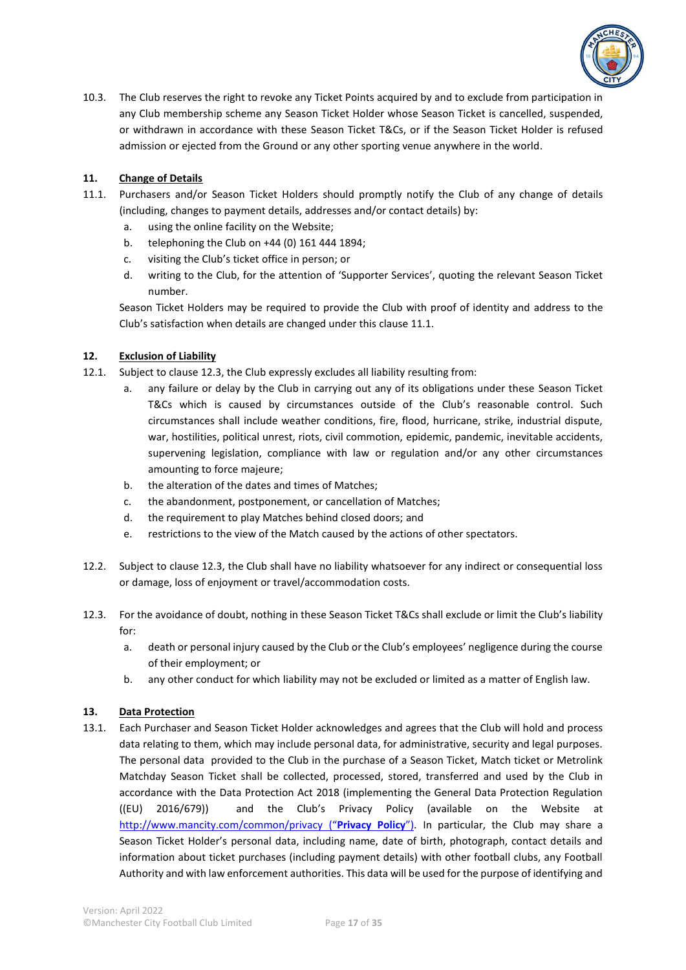

10.3. The Club reserves the right to revoke any Ticket Points acquired by and to exclude from participation in any Club membership scheme any Season Ticket Holder whose Season Ticket is cancelled, suspended, or withdrawn in accordance with these Season Ticket T&Cs, or if the Season Ticket Holder is refused admission or ejected from the Ground or any other sporting venue anywhere in the world.

# **11. Change of Details**

- 11.1. Purchasers and/or Season Ticket Holders should promptly notify the Club of any change of details (including, changes to payment details, addresses and/or contact details) by:
	- a. using the online facility on the Website;
	- b. telephoning the Club on +44 (0) 161 444 1894;
	- c. visiting the Club's ticket office in person; or
	- d. writing to the Club, for the attention of 'Supporter Services', quoting the relevant Season Ticket number.

Season Ticket Holders may be required to provide the Club with proof of identity and address to the Club's satisfaction when details are changed under this clause 11.1.

# **12. Exclusion of Liability**

- 12.1. Subject to clause 12.3, the Club expressly excludes all liability resulting from:
	- a. any failure or delay by the Club in carrying out any of its obligations under these Season Ticket T&Cs which is caused by circumstances outside of the Club's reasonable control. Such circumstances shall include weather conditions, fire, flood, hurricane, strike, industrial dispute, war, hostilities, political unrest, riots, civil commotion, epidemic, pandemic, inevitable accidents, supervening legislation, compliance with law or regulation and/or any other circumstances amounting to force majeure;
	- b. the alteration of the dates and times of Matches;
	- c. the abandonment, postponement, or cancellation of Matches;
	- d. the requirement to play Matches behind closed doors; and
	- e. restrictions to the view of the Match caused by the actions of other spectators.
- 12.2. Subject to clause 12.3, the Club shall have no liability whatsoever for any indirect or consequential loss or damage, loss of enjoyment or travel/accommodation costs.
- 12.3. For the avoidance of doubt, nothing in these Season Ticket T&Cs shall exclude or limit the Club's liability for:
	- a. death or personal injury caused by the Club or the Club's employees' negligence during the course of their employment; or
	- b. any other conduct for which liability may not be excluded or limited as a matter of English law.

# **13. Data Protection**

13.1. Each Purchaser and Season Ticket Holder acknowledges and agrees that the Club will hold and process data relating to them, which may include personal data, for administrative, security and legal purposes. The personal data provided to the Club in the purchase of a Season Ticket, Match ticket or Metrolink Matchday Season Ticket shall be collected, processed, stored, transferred and used by the Club in accordance with the Data Protection Act 2018 (implementing the General Data Protection Regulation ((EU) 2016/679)) and the Club's Privacy Policy (available on the Website at <http://www.mancity.com/common/privacy> ("**Privacy Policy**"). In particular, the Club may share a Season Ticket Holder's personal data, including name, date of birth, photograph, contact details and information about ticket purchases (including payment details) with other football clubs, any Football Authority and with law enforcement authorities. This data will be used for the purpose of identifying and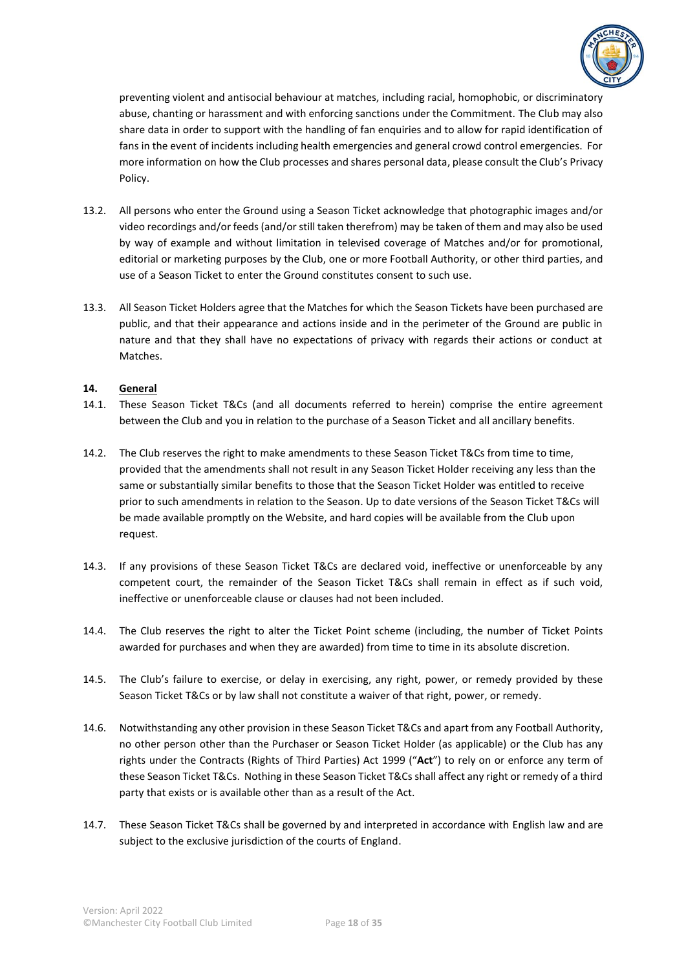

preventing violent and antisocial behaviour at matches, including racial, homophobic, or discriminatory abuse, chanting or harassment and with enforcing sanctions under the Commitment. The Club may also share data in order to support with the handling of fan enquiries and to allow for rapid identification of fans in the event of incidents including health emergencies and general crowd control emergencies. For more information on how the Club processes and shares personal data, please consult the Club's Privacy Policy.

- 13.2. All persons who enter the Ground using a Season Ticket acknowledge that photographic images and/or video recordings and/or feeds (and/or still taken therefrom) may be taken of them and may also be used by way of example and without limitation in televised coverage of Matches and/or for promotional, editorial or marketing purposes by the Club, one or more Football Authority, or other third parties, and use of a Season Ticket to enter the Ground constitutes consent to such use.
- 13.3. All Season Ticket Holders agree that the Matches for which the Season Tickets have been purchased are public, and that their appearance and actions inside and in the perimeter of the Ground are public in nature and that they shall have no expectations of privacy with regards their actions or conduct at Matches.

# **14. General**

- 14.1. These Season Ticket T&Cs (and all documents referred to herein) comprise the entire agreement between the Club and you in relation to the purchase of a Season Ticket and all ancillary benefits.
- 14.2. The Club reserves the right to make amendments to these Season Ticket T&Cs from time to time, provided that the amendments shall not result in any Season Ticket Holder receiving any less than the same or substantially similar benefits to those that the Season Ticket Holder was entitled to receive prior to such amendments in relation to the Season. Up to date versions of the Season Ticket T&Cs will be made available promptly on the Website, and hard copies will be available from the Club upon request.
- 14.3. If any provisions of these Season Ticket T&Cs are declared void, ineffective or unenforceable by any competent court, the remainder of the Season Ticket T&Cs shall remain in effect as if such void, ineffective or unenforceable clause or clauses had not been included.
- 14.4. The Club reserves the right to alter the Ticket Point scheme (including, the number of Ticket Points awarded for purchases and when they are awarded) from time to time in its absolute discretion.
- 14.5. The Club's failure to exercise, or delay in exercising, any right, power, or remedy provided by these Season Ticket T&Cs or by law shall not constitute a waiver of that right, power, or remedy.
- 14.6. Notwithstanding any other provision in these Season Ticket T&Cs and apart from any Football Authority, no other person other than the Purchaser or Season Ticket Holder (as applicable) or the Club has any rights under the Contracts (Rights of Third Parties) Act 1999 ("**Act**") to rely on or enforce any term of these Season Ticket T&Cs. Nothing in these Season Ticket T&Cs shall affect any right or remedy of a third party that exists or is available other than as a result of the Act.
- 14.7. These Season Ticket T&Cs shall be governed by and interpreted in accordance with English law and are subject to the exclusive jurisdiction of the courts of England.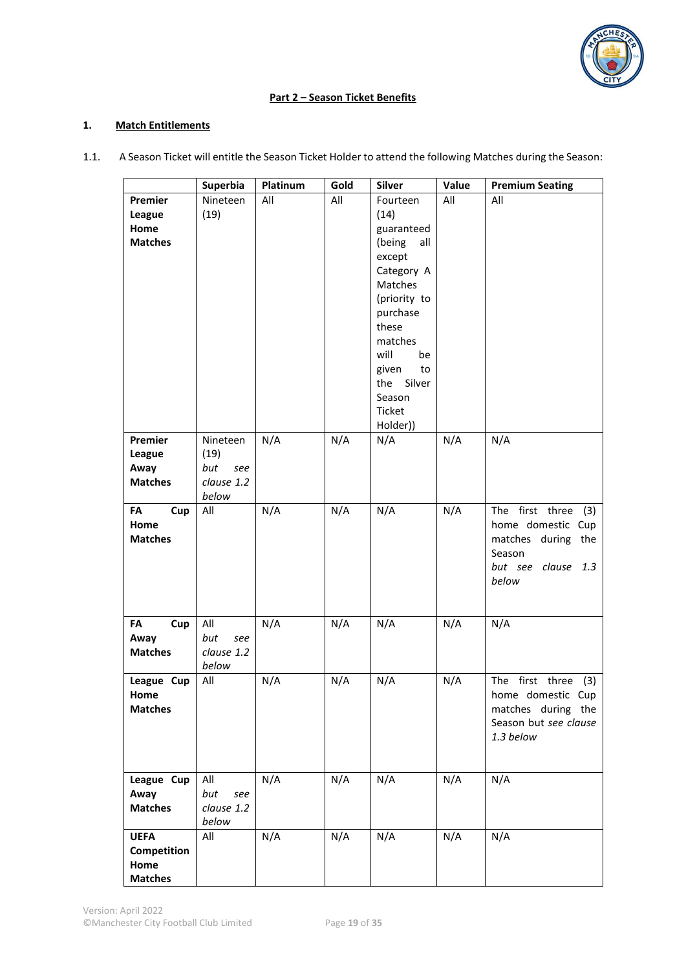

# **Part 2 – Season Ticket Benefits**

# **1. Match Entitlements**

1.1. A Season Ticket will entitle the Season Ticket Holder to attend the following Matches during the Season:

|                                                      | Superbia                                              | Platinum | Gold | Silver                                                                                                                                                                                                           | Value | <b>Premium Seating</b>                                                                                        |
|------------------------------------------------------|-------------------------------------------------------|----------|------|------------------------------------------------------------------------------------------------------------------------------------------------------------------------------------------------------------------|-------|---------------------------------------------------------------------------------------------------------------|
| Premier<br>League<br>Home<br><b>Matches</b>          | Nineteen<br>(19)                                      | All      | All  | Fourteen<br>(14)<br>guaranteed<br>(being<br>all<br>except<br>Category A<br>Matches<br>(priority to<br>purchase<br>these<br>matches<br>will<br>be<br>given<br>to<br>Silver<br>the<br>Season<br>Ticket<br>Holder)) | All   | All                                                                                                           |
| Premier<br>League<br>Away<br><b>Matches</b>          | Nineteen<br>(19)<br>but<br>see<br>clause 1.2<br>below | N/A      | N/A  | N/A                                                                                                                                                                                                              | N/A   | N/A                                                                                                           |
| FA<br>Cup<br>Home<br><b>Matches</b>                  | All                                                   | N/A      | N/A  | N/A                                                                                                                                                                                                              | N/A   | The first three<br>(3)<br>home domestic Cup<br>matches during the<br>Season<br>but see clause<br>1.3<br>below |
| FA<br>Cup<br>Away<br><b>Matches</b>                  | All<br>but<br>see<br>clause 1.2<br>below              | N/A      | N/A  | N/A                                                                                                                                                                                                              | N/A   | N/A                                                                                                           |
| League Cup<br>Home<br><b>Matches</b>                 | All                                                   | N/A      | N/A  | N/A                                                                                                                                                                                                              | N/A   | The first three (3)<br>home domestic Cup<br>matches during the<br>Season but see clause<br>1.3 below          |
| League Cup<br>Away<br><b>Matches</b>                 | All<br>but<br>see<br>clause 1.2<br>below              | N/A      | N/A  | N/A                                                                                                                                                                                                              | N/A   | N/A                                                                                                           |
| <b>UEFA</b><br>Competition<br>Home<br><b>Matches</b> | All                                                   | N/A      | N/A  | N/A                                                                                                                                                                                                              | N/A   | N/A                                                                                                           |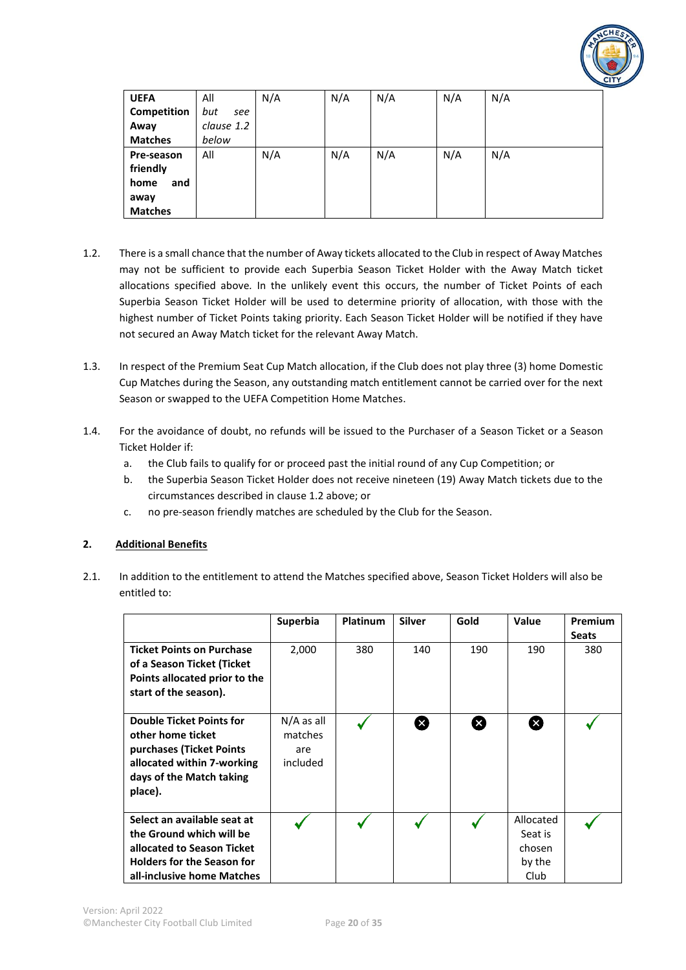

| <b>UEFA</b>    | All        | N/A | N/A | N/A | N/A | N/A |
|----------------|------------|-----|-----|-----|-----|-----|
| Competition    | but<br>see |     |     |     |     |     |
| Away           | clause 1.2 |     |     |     |     |     |
| <b>Matches</b> | below      |     |     |     |     |     |
| Pre-season     | All        | N/A | N/A | N/A | N/A | N/A |
| friendly       |            |     |     |     |     |     |
| home<br>and    |            |     |     |     |     |     |
| away           |            |     |     |     |     |     |
| <b>Matches</b> |            |     |     |     |     |     |

- 1.2. There is a small chance that the number of Away tickets allocated to the Club in respect of Away Matches may not be sufficient to provide each Superbia Season Ticket Holder with the Away Match ticket allocations specified above*.* In the unlikely event this occurs, the number of Ticket Points of each Superbia Season Ticket Holder will be used to determine priority of allocation, with those with the highest number of Ticket Points taking priority. Each Season Ticket Holder will be notified if they have not secured an Away Match ticket for the relevant Away Match.
- 1.3. In respect of the Premium Seat Cup Match allocation, if the Club does not play three (3) home Domestic Cup Matches during the Season, any outstanding match entitlement cannot be carried over for the next Season or swapped to the UEFA Competition Home Matches.
- 1.4. For the avoidance of doubt, no refunds will be issued to the Purchaser of a Season Ticket or a Season Ticket Holder if:
	- a. the Club fails to qualify for or proceed past the initial round of any Cup Competition; or
	- b. the Superbia Season Ticket Holder does not receive nineteen (19) Away Match tickets due to the circumstances described in clause 1.2 above; or
	- c. no pre-season friendly matches are scheduled by the Club for the Season.

# **2. Additional Benefits**

2.1. In addition to the entitlement to attend the Matches specified above, Season Ticket Holders will also be entitled to:

|                                                                                                                                                          | <b>Superbia</b>                            | <b>Platinum</b> | <b>Silver</b> | Gold | Value                                            | <b>Premium</b><br><b>Seats</b> |
|----------------------------------------------------------------------------------------------------------------------------------------------------------|--------------------------------------------|-----------------|---------------|------|--------------------------------------------------|--------------------------------|
| <b>Ticket Points on Purchase</b><br>of a Season Ticket (Ticket<br>Points allocated prior to the<br>start of the season).                                 | 2,000                                      | 380             | 140           | 190  | 190                                              | 380                            |
| <b>Double Ticket Points for</b><br>other home ticket<br>purchases (Ticket Points<br>allocated within 7-working<br>days of the Match taking<br>place).    | $N/A$ as all<br>matches<br>are<br>included |                 | ⊗             | ⊠    | Œ                                                |                                |
| Select an available seat at<br>the Ground which will be<br>allocated to Season Ticket<br><b>Holders for the Season for</b><br>all-inclusive home Matches |                                            |                 |               |      | Allocated<br>Seat is<br>chosen<br>by the<br>Club |                                |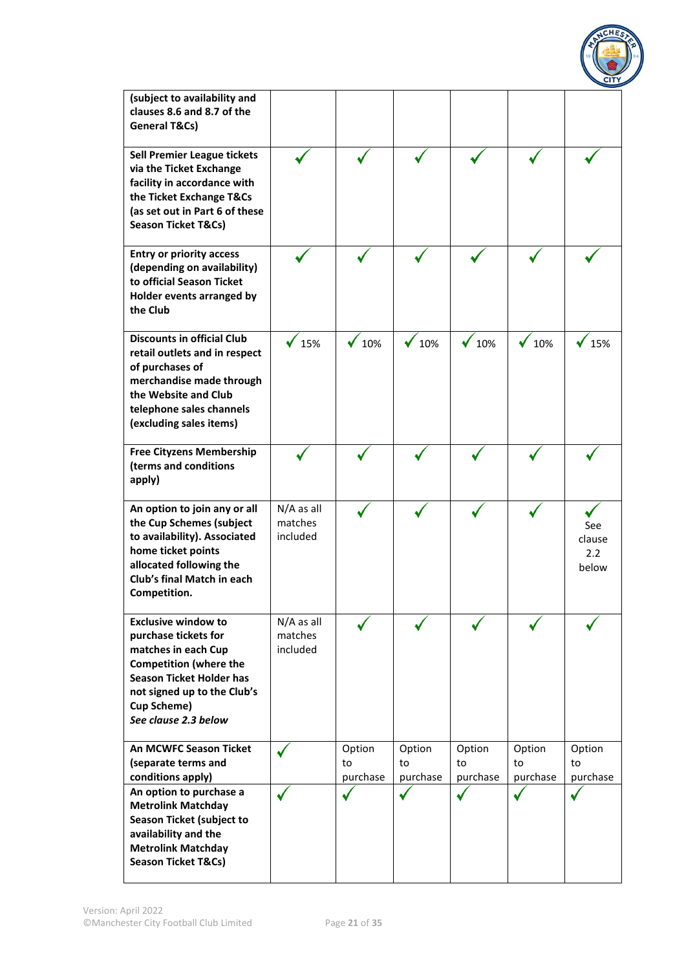

| (subject to availability and<br>clauses 8.6 and 8.7 of the<br>General T&Cs)                                                                                                                                                |                                     |                          |                          |                          |                          |                                         |
|----------------------------------------------------------------------------------------------------------------------------------------------------------------------------------------------------------------------------|-------------------------------------|--------------------------|--------------------------|--------------------------|--------------------------|-----------------------------------------|
| <b>Sell Premier League tickets</b><br>via the Ticket Exchange<br>facility in accordance with<br>the Ticket Exchange T&Cs<br>(as set out in Part 6 of these<br><b>Season Ticket T&amp;Cs)</b>                               |                                     |                          |                          |                          |                          |                                         |
| <b>Entry or priority access</b><br>(depending on availability)<br>to official Season Ticket<br>Holder events arranged by<br>the Club                                                                                       |                                     |                          |                          |                          |                          |                                         |
| <b>Discounts in official Club</b><br>retail outlets and in respect<br>of purchases of<br>merchandise made through<br>the Website and Club<br>telephone sales channels<br>(excluding sales items)                           | 15%                                 | 10%                      | 10%                      | 10%                      | 10%                      | 15%                                     |
| <b>Free Cityzens Membership</b><br>(terms and conditions<br>apply)                                                                                                                                                         |                                     |                          |                          |                          |                          |                                         |
| An option to join any or all<br>the Cup Schemes (subject<br>to availability). Associated<br>home ticket points<br>allocated following the<br>Club's final Match in each<br>Competition.                                    | $N/A$ as all<br>matches<br>included |                          |                          |                          |                          | See<br>clause<br>$2.2^{\circ}$<br>below |
| <b>Exclusive window to</b><br>purchase tickets for<br>matches in each Cup<br><b>Competition (where the</b><br><b>Season Ticket Holder has</b><br>not signed up to the Club's<br><b>Cup Scheme)</b><br>See clause 2.3 below | $N/A$ as all<br>matches<br>included |                          |                          |                          |                          |                                         |
| <b>An MCWFC Season Ticket</b><br>(separate terms and<br>conditions apply)                                                                                                                                                  |                                     | Option<br>to<br>purchase | Option<br>to<br>purchase | Option<br>to<br>purchase | Option<br>to<br>purchase | Option<br>to<br>purchase                |
| An option to purchase a<br><b>Metrolink Matchday</b><br><b>Season Ticket (subject to</b><br>availability and the<br><b>Metrolink Matchday</b><br><b>Season Ticket T&amp;Cs)</b>                                            |                                     |                          |                          |                          |                          |                                         |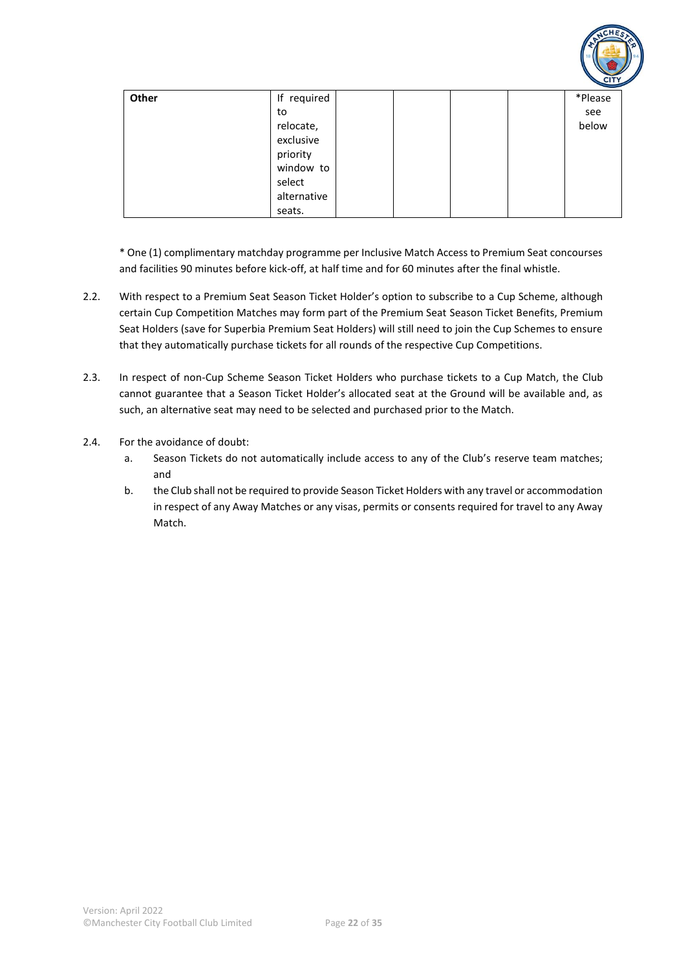

| Other | If required | *Please |
|-------|-------------|---------|
|       | to          | see     |
|       | relocate,   | below   |
|       | exclusive   |         |
|       | priority    |         |
|       | window to   |         |
|       | select      |         |
|       | alternative |         |
|       | seats.      |         |

\* One (1) complimentary matchday programme per Inclusive Match Access to Premium Seat concourses and facilities 90 minutes before kick-off, at half time and for 60 minutes after the final whistle.

- 2.2. With respect to a Premium Seat Season Ticket Holder's option to subscribe to a Cup Scheme, although certain Cup Competition Matches may form part of the Premium Seat Season Ticket Benefits, Premium Seat Holders (save for Superbia Premium Seat Holders) will still need to join the Cup Schemes to ensure that they automatically purchase tickets for all rounds of the respective Cup Competitions.
- 2.3. In respect of non-Cup Scheme Season Ticket Holders who purchase tickets to a Cup Match, the Club cannot guarantee that a Season Ticket Holder's allocated seat at the Ground will be available and, as such, an alternative seat may need to be selected and purchased prior to the Match.
- 2.4. For the avoidance of doubt:
	- a. Season Tickets do not automatically include access to any of the Club's reserve team matches; and
	- b. the Club shall not be required to provide Season Ticket Holders with any travel or accommodation in respect of any Away Matches or any visas, permits or consents required for travel to any Away Match.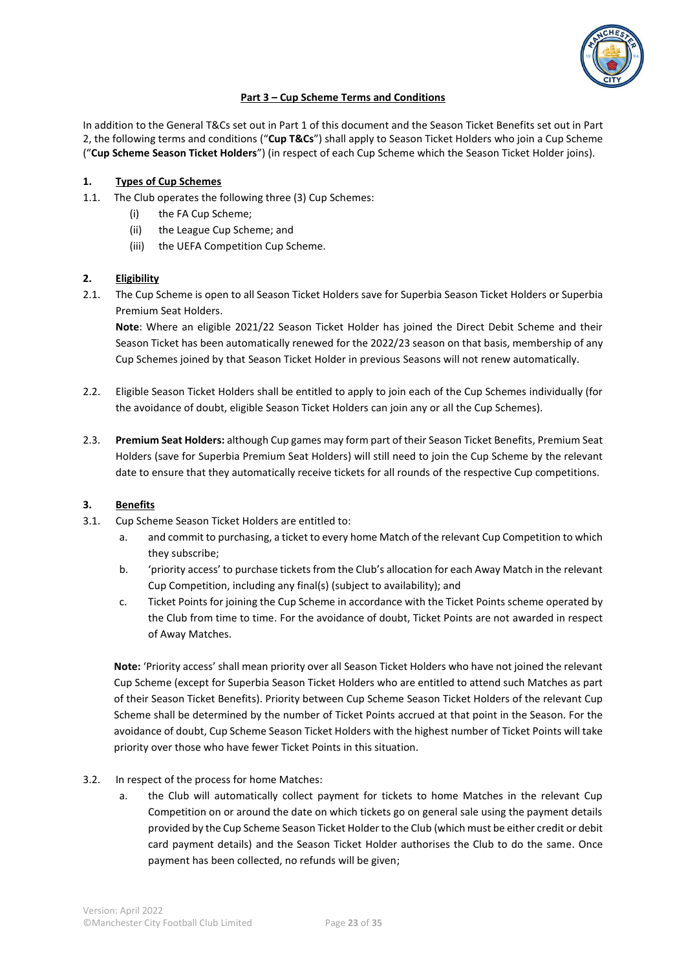

# **Part 3 – Cup Scheme Terms and Conditions**

In addition to the General T&Cs set out in Part 1 of this document and the Season Ticket Benefits set out in Part 2, the following terms and conditions ("**Cup T&Cs**") shall apply to Season Ticket Holders who join a Cup Scheme ("**Cup Scheme Season Ticket Holders**") (in respect of each Cup Scheme which the Season Ticket Holder joins).

# **1. Types of Cup Schemes**

- 1.1. The Club operates the following three (3) Cup Schemes:
	- (i) the FA Cup Scheme;
	- (ii) the League Cup Scheme; and
	- (iii) the UEFA Competition Cup Scheme.

# **2. Eligibility**

2.1. The Cup Scheme is open to all Season Ticket Holders save for Superbia Season Ticket Holders or Superbia Premium Seat Holders.

**Note**: Where an eligible 2021/22 Season Ticket Holder has joined the Direct Debit Scheme and their Season Ticket has been automatically renewed for the 2022/23 season on that basis, membership of any Cup Schemes joined by that Season Ticket Holder in previous Seasons will not renew automatically.

- 2.2. Eligible Season Ticket Holders shall be entitled to apply to join each of the Cup Schemes individually (for the avoidance of doubt, eligible Season Ticket Holders can join any or all the Cup Schemes).
- 2.3. **Premium Seat Holders:** although Cup games may form part of their Season Ticket Benefits, Premium Seat Holders (save for Superbia Premium Seat Holders) will still need to join the Cup Scheme by the relevant date to ensure that they automatically receive tickets for all rounds of the respective Cup competitions.

# **3. Benefits**

- 3.1. Cup Scheme Season Ticket Holders are entitled to:
	- a. and commit to purchasing, a ticket to every home Match of the relevant Cup Competition to which they subscribe;
	- b. 'priority access' to purchase tickets from the Club's allocation for each Away Match in the relevant Cup Competition, including any final(s) (subject to availability); and
	- c. Ticket Points for joining the Cup Scheme in accordance with the Ticket Points scheme operated by the Club from time to time. For the avoidance of doubt, Ticket Points are not awarded in respect of Away Matches.

**Note:** 'Priority access' shall mean priority over all Season Ticket Holders who have not joined the relevant Cup Scheme (except for Superbia Season Ticket Holders who are entitled to attend such Matches as part of their Season Ticket Benefits). Priority between Cup Scheme Season Ticket Holders of the relevant Cup Scheme shall be determined by the number of Ticket Points accrued at that point in the Season. For the avoidance of doubt, Cup Scheme Season Ticket Holders with the highest number of Ticket Points will take priority over those who have fewer Ticket Points in this situation.

# 3.2. In respect of the process for home Matches:

a. the Club will automatically collect payment for tickets to home Matches in the relevant Cup Competition on or around the date on which tickets go on general sale using the payment details provided by the Cup Scheme Season Ticket Holder to the Club (which must be either credit or debit card payment details) and the Season Ticket Holder authorises the Club to do the same. Once payment has been collected, no refunds will be given;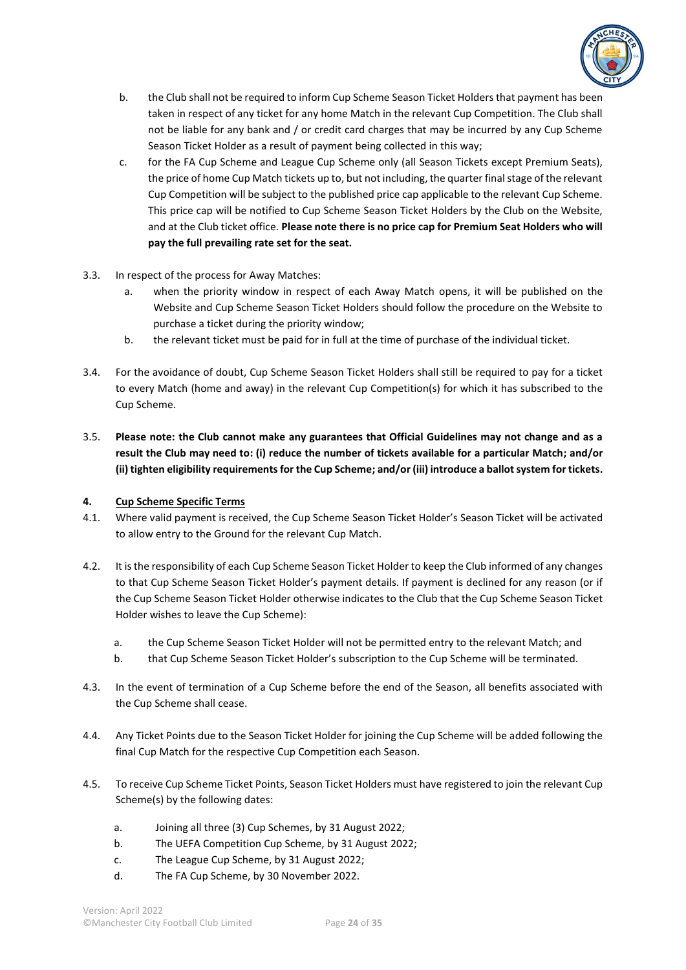

- b. the Club shall not be required to inform Cup Scheme Season Ticket Holders that payment has been taken in respect of any ticket for any home Match in the relevant Cup Competition. The Club shall not be liable for any bank and / or credit card charges that may be incurred by any Cup Scheme Season Ticket Holder as a result of payment being collected in this way;
- c. for the FA Cup Scheme and League Cup Scheme only (all Season Tickets except Premium Seats), the price of home Cup Match tickets up to, but not including, the quarter final stage of the relevant Cup Competition will be subject to the published price cap applicable to the relevant Cup Scheme. This price cap will be notified to Cup Scheme Season Ticket Holders by the Club on the Website, and at the Club ticket office. **Please note there is no price cap for Premium Seat Holders who will pay the full prevailing rate set for the seat.**
- 3.3. In respect of the process for Away Matches:
	- a. when the priority window in respect of each Away Match opens, it will be published on the Website and Cup Scheme Season Ticket Holders should follow the procedure on the Website to purchase a ticket during the priority window;
	- b. the relevant ticket must be paid for in full at the time of purchase of the individual ticket.
- 3.4. For the avoidance of doubt, Cup Scheme Season Ticket Holders shall still be required to pay for a ticket to every Match (home and away) in the relevant Cup Competition(s) for which it has subscribed to the Cup Scheme.
- 3.5. **Please note: the Club cannot make any guarantees that Official Guidelines may not change and as a result the Club may need to: (i) reduce the number of tickets available for a particular Match; and/or (ii) tighten eligibility requirements for the Cup Scheme; and/or (iii) introduce a ballot system for tickets.**

# **4. Cup Scheme Specific Terms**

- 4.1. Where valid payment is received, the Cup Scheme Season Ticket Holder's Season Ticket will be activated to allow entry to the Ground for the relevant Cup Match.
- 4.2. It is the responsibility of each Cup Scheme Season Ticket Holder to keep the Club informed of any changes to that Cup Scheme Season Ticket Holder's payment details. If payment is declined for any reason (or if the Cup Scheme Season Ticket Holder otherwise indicates to the Club that the Cup Scheme Season Ticket Holder wishes to leave the Cup Scheme):
	- a. the Cup Scheme Season Ticket Holder will not be permitted entry to the relevant Match; and
	- b. that Cup Scheme Season Ticket Holder's subscription to the Cup Scheme will be terminated.
- 4.3. In the event of termination of a Cup Scheme before the end of the Season, all benefits associated with the Cup Scheme shall cease.
- 4.4. Any Ticket Points due to the Season Ticket Holder for joining the Cup Scheme will be added following the final Cup Match for the respective Cup Competition each Season.
- 4.5. To receive Cup Scheme Ticket Points, Season Ticket Holders must have registered to join the relevant Cup Scheme(s) by the following dates:
	- a. Joining all three (3) Cup Schemes, by 31 August 2022;
	- b. The UEFA Competition Cup Scheme, by 31 August 2022;
	- c. The League Cup Scheme, by 31 August 2022;
	- d. The FA Cup Scheme, by 30 November 2022.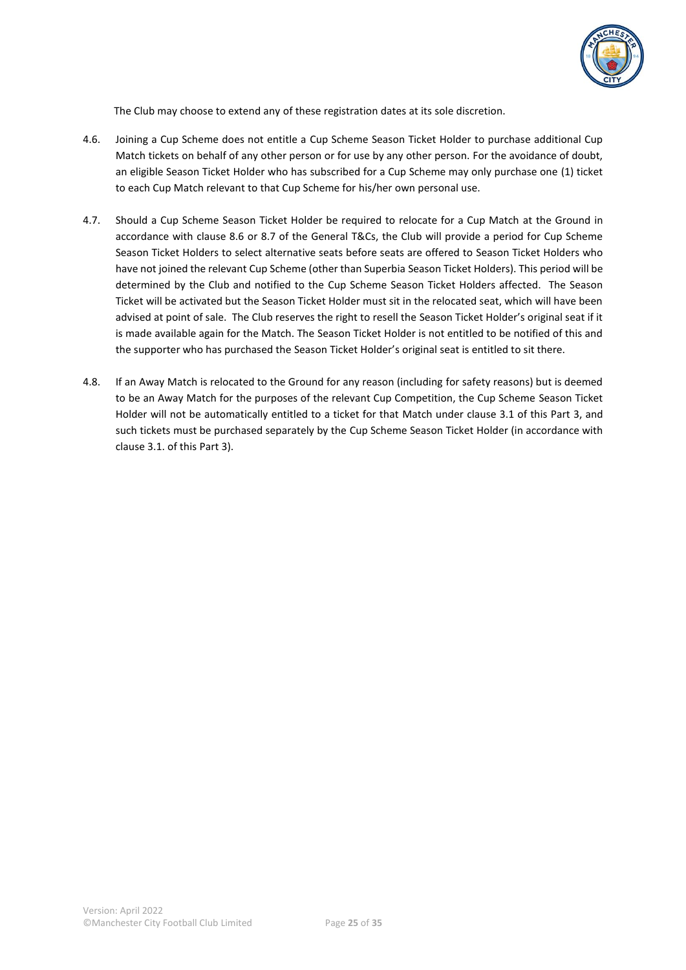

The Club may choose to extend any of these registration dates at its sole discretion.

- 4.6. Joining a Cup Scheme does not entitle a Cup Scheme Season Ticket Holder to purchase additional Cup Match tickets on behalf of any other person or for use by any other person. For the avoidance of doubt, an eligible Season Ticket Holder who has subscribed for a Cup Scheme may only purchase one (1) ticket to each Cup Match relevant to that Cup Scheme for his/her own personal use.
- 4.7. Should a Cup Scheme Season Ticket Holder be required to relocate for a Cup Match at the Ground in accordance with clause 8.6 or 8.7 of the General T&Cs, the Club will provide a period for Cup Scheme Season Ticket Holders to select alternative seats before seats are offered to Season Ticket Holders who have not joined the relevant Cup Scheme (other than Superbia Season Ticket Holders). This period will be determined by the Club and notified to the Cup Scheme Season Ticket Holders affected. The Season Ticket will be activated but the Season Ticket Holder must sit in the relocated seat, which will have been advised at point of sale. The Club reserves the right to resell the Season Ticket Holder's original seat if it is made available again for the Match. The Season Ticket Holder is not entitled to be notified of this and the supporter who has purchased the Season Ticket Holder's original seat is entitled to sit there.
- 4.8. If an Away Match is relocated to the Ground for any reason (including for safety reasons) but is deemed to be an Away Match for the purposes of the relevant Cup Competition, the Cup Scheme Season Ticket Holder will not be automatically entitled to a ticket for that Match under clause 3.1 of this Part 3, and such tickets must be purchased separately by the Cup Scheme Season Ticket Holder (in accordance with clause 3.1. of this Part 3).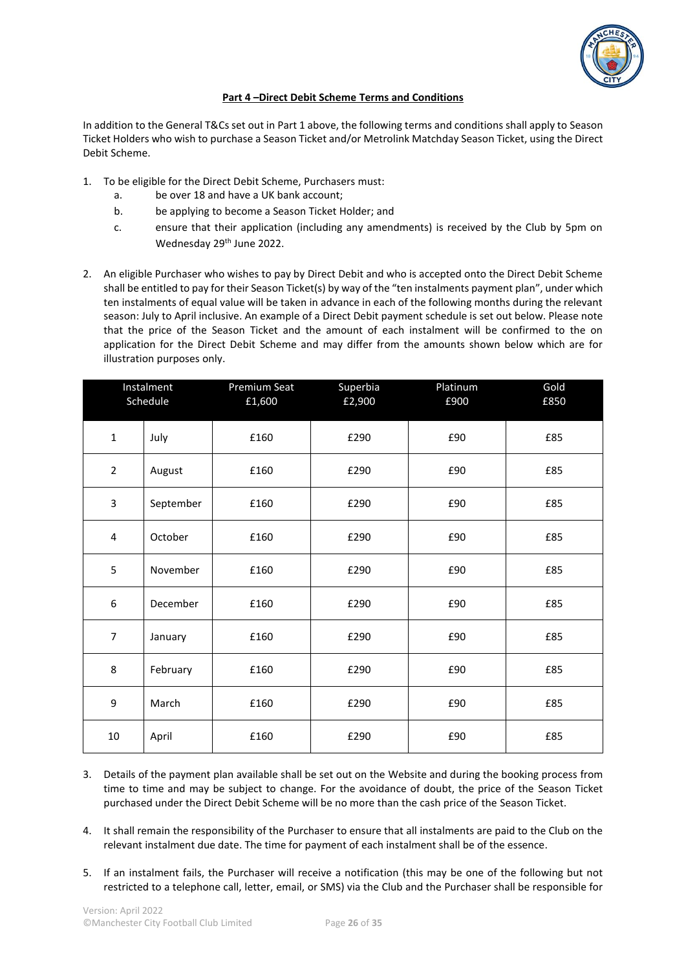

#### **Part 4 –Direct Debit Scheme Terms and Conditions**

In addition to the General T&Cs set out in Part 1 above, the following terms and conditions shall apply to Season Ticket Holders who wish to purchase a Season Ticket and/or Metrolink Matchday Season Ticket, using the Direct Debit Scheme.

- 1. To be eligible for the Direct Debit Scheme, Purchasers must:
	- a. be over 18 and have a UK bank account;
	- b. be applying to become a Season Ticket Holder; and
	- c. ensure that their application (including any amendments) is received by the Club by 5pm on Wednesday 29<sup>th</sup> June 2022.
- 2. An eligible Purchaser who wishes to pay by Direct Debit and who is accepted onto the Direct Debit Scheme shall be entitled to pay for their Season Ticket(s) by way of the "ten instalments payment plan", under which ten instalments of equal value will be taken in advance in each of the following months during the relevant season: July to April inclusive. An example of a Direct Debit payment schedule is set out below. Please note that the price of the Season Ticket and the amount of each instalment will be confirmed to the on application for the Direct Debit Scheme and may differ from the amounts shown below which are for illustration purposes only.

|                | Instalment<br>Schedule | Premium Seat<br>£1,600 | Superbia<br>£2,900 | Platinum<br>£900 | Gold<br>£850 |
|----------------|------------------------|------------------------|--------------------|------------------|--------------|
| $\mathbf 1$    | July                   | £160                   | £290               | £90              | £85          |
| $\overline{2}$ | August                 | £160                   | £290               | £90              | £85          |
| 3              | September              | £160                   | £290               | £90              | £85          |
| $\overline{4}$ | October                | £160                   | £290               | £90              | £85          |
| 5              | November               | £160                   | £290               | £90              | £85          |
| 6              | December               | £160                   | £290               | £90              | £85          |
| $\overline{7}$ | January                | £160                   | £290               | £90              | £85          |
| 8              | February               | £160                   | £290               | £90              | £85          |
| 9              | March                  | £160                   | £290               | £90              | £85          |
| $10\,$         | April                  | £160                   | £290               | £90              | £85          |

- 3. Details of the payment plan available shall be set out on the Website and during the booking process from time to time and may be subject to change. For the avoidance of doubt, the price of the Season Ticket purchased under the Direct Debit Scheme will be no more than the cash price of the Season Ticket.
- 4. It shall remain the responsibility of the Purchaser to ensure that all instalments are paid to the Club on the relevant instalment due date. The time for payment of each instalment shall be of the essence.
- 5. If an instalment fails, the Purchaser will receive a notification (this may be one of the following but not restricted to a telephone call, letter, email, or SMS) via the Club and the Purchaser shall be responsible for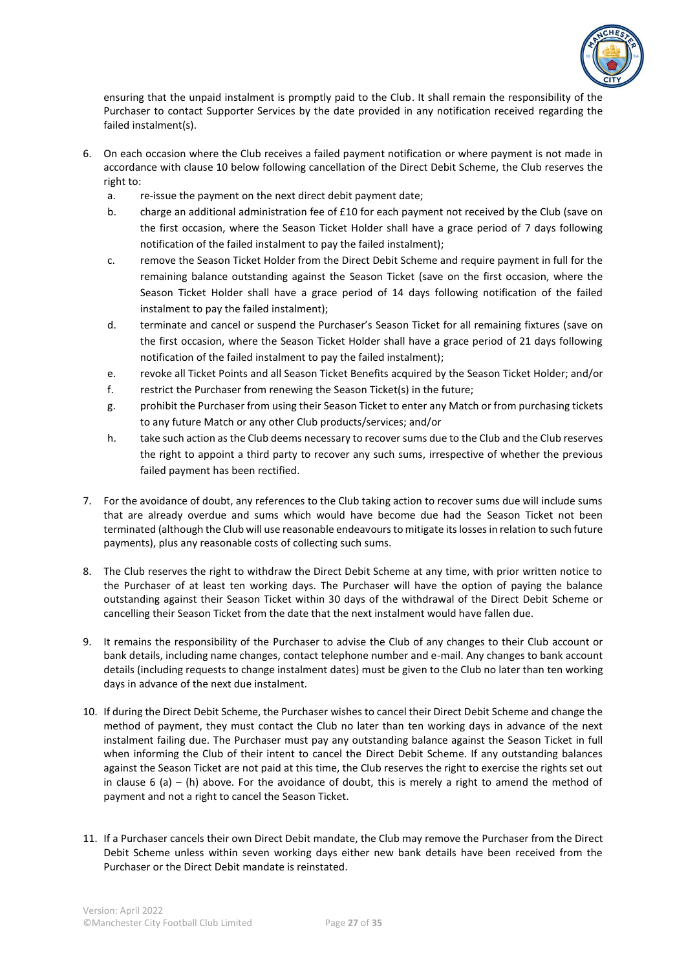

ensuring that the unpaid instalment is promptly paid to the Club. It shall remain the responsibility of the Purchaser to contact Supporter Services by the date provided in any notification received regarding the failed instalment(s).

- 6. On each occasion where the Club receives a failed payment notification or where payment is not made in accordance with clause 10 below following cancellation of the Direct Debit Scheme, the Club reserves the right to:
	- a. re-issue the payment on the next direct debit payment date;
	- b. charge an additional administration fee of £10 for each payment not received by the Club (save on the first occasion, where the Season Ticket Holder shall have a grace period of 7 days following notification of the failed instalment to pay the failed instalment);
	- c. remove the Season Ticket Holder from the Direct Debit Scheme and require payment in full for the remaining balance outstanding against the Season Ticket (save on the first occasion, where the Season Ticket Holder shall have a grace period of 14 days following notification of the failed instalment to pay the failed instalment);
	- d. terminate and cancel or suspend the Purchaser's Season Ticket for all remaining fixtures (save on the first occasion, where the Season Ticket Holder shall have a grace period of 21 days following notification of the failed instalment to pay the failed instalment);
	- e. revoke all Ticket Points and all Season Ticket Benefits acquired by the Season Ticket Holder; and/or
	- f. restrict the Purchaser from renewing the Season Ticket(s) in the future;
	- g. prohibit the Purchaser from using their Season Ticket to enter any Match or from purchasing tickets to any future Match or any other Club products/services; and/or
	- h. take such action as the Club deems necessary to recover sums due to the Club and the Club reserves the right to appoint a third party to recover any such sums, irrespective of whether the previous failed payment has been rectified.
- 7. For the avoidance of doubt, any references to the Club taking action to recover sums due will include sums that are already overdue and sums which would have become due had the Season Ticket not been terminated (although the Club will use reasonable endeavours to mitigate its losses in relation to such future payments), plus any reasonable costs of collecting such sums.
- 8. The Club reserves the right to withdraw the Direct Debit Scheme at any time, with prior written notice to the Purchaser of at least ten working days. The Purchaser will have the option of paying the balance outstanding against their Season Ticket within 30 days of the withdrawal of the Direct Debit Scheme or cancelling their Season Ticket from the date that the next instalment would have fallen due.
- 9. It remains the responsibility of the Purchaser to advise the Club of any changes to their Club account or bank details, including name changes, contact telephone number and e-mail. Any changes to bank account details (including requests to change instalment dates) must be given to the Club no later than ten working days in advance of the next due instalment.
- 10. If during the Direct Debit Scheme, the Purchaser wishes to cancel their Direct Debit Scheme and change the method of payment, they must contact the Club no later than ten working days in advance of the next instalment failing due. The Purchaser must pay any outstanding balance against the Season Ticket in full when informing the Club of their intent to cancel the Direct Debit Scheme. If any outstanding balances against the Season Ticket are not paid at this time, the Club reserves the right to exercise the rights set out in clause 6 (a) – (h) above. For the avoidance of doubt, this is merely a right to amend the method of payment and not a right to cancel the Season Ticket.
- 11. If a Purchaser cancels their own Direct Debit mandate, the Club may remove the Purchaser from the Direct Debit Scheme unless within seven working days either new bank details have been received from the Purchaser or the Direct Debit mandate is reinstated.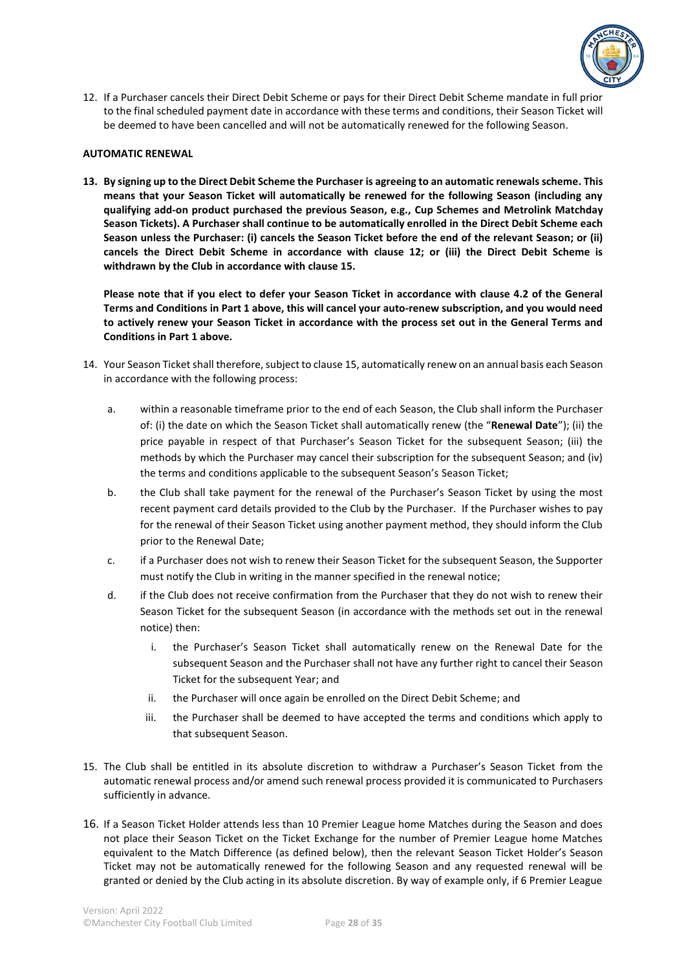

12. If a Purchaser cancels their Direct Debit Scheme or pays for their Direct Debit Scheme mandate in full prior to the final scheduled payment date in accordance with these terms and conditions, their Season Ticket will be deemed to have been cancelled and will not be automatically renewed for the following Season.

#### **AUTOMATIC RENEWAL**

**13. By signing up to the Direct Debit Scheme the Purchaser is agreeing to an automatic renewals scheme. This means that your Season Ticket will automatically be renewed for the following Season (including any qualifying add-on product purchased the previous Season, e.g., Cup Schemes and Metrolink Matchday Season Tickets). A Purchaser shall continue to be automatically enrolled in the Direct Debit Scheme each Season unless the Purchaser: (i) cancels the Season Ticket before the end of the relevant Season; or (ii) cancels the Direct Debit Scheme in accordance with clause 12; or (iii) the Direct Debit Scheme is withdrawn by the Club in accordance with clause 15.**

**Please note that if you elect to defer your Season Ticket in accordance with clause 4.2 of the General Terms and Conditions in Part 1 above, this will cancel your auto-renew subscription, and you would need to actively renew your Season Ticket in accordance with the process set out in the General Terms and Conditions in Part 1 above.**

- 14. Your Season Ticket shall therefore, subject to clause 15, automatically renew on an annual basis each Season in accordance with the following process:
	- a. within a reasonable timeframe prior to the end of each Season, the Club shall inform the Purchaser of: (i) the date on which the Season Ticket shall automatically renew (the "**Renewal Date**"); (ii) the price payable in respect of that Purchaser's Season Ticket for the subsequent Season; (iii) the methods by which the Purchaser may cancel their subscription for the subsequent Season; and (iv) the terms and conditions applicable to the subsequent Season's Season Ticket;
	- b. the Club shall take payment for the renewal of the Purchaser's Season Ticket by using the most recent payment card details provided to the Club by the Purchaser. If the Purchaser wishes to pay for the renewal of their Season Ticket using another payment method, they should inform the Club prior to the Renewal Date;
	- c. if a Purchaser does not wish to renew their Season Ticket for the subsequent Season, the Supporter must notify the Club in writing in the manner specified in the renewal notice;
	- d. if the Club does not receive confirmation from the Purchaser that they do not wish to renew their Season Ticket for the subsequent Season (in accordance with the methods set out in the renewal notice) then:
		- i. the Purchaser's Season Ticket shall automatically renew on the Renewal Date for the subsequent Season and the Purchaser shall not have any further right to cancel their Season Ticket for the subsequent Year; and
		- ii. the Purchaser will once again be enrolled on the Direct Debit Scheme; and
		- iii. the Purchaser shall be deemed to have accepted the terms and conditions which apply to that subsequent Season.
- 15. The Club shall be entitled in its absolute discretion to withdraw a Purchaser's Season Ticket from the automatic renewal process and/or amend such renewal process provided it is communicated to Purchasers sufficiently in advance.
- 16. If a Season Ticket Holder attends less than 10 Premier League home Matches during the Season and does not place their Season Ticket on the Ticket Exchange for the number of Premier League home Matches equivalent to the Match Difference (as defined below), then the relevant Season Ticket Holder's Season Ticket may not be automatically renewed for the following Season and any requested renewal will be granted or denied by the Club acting in its absolute discretion. By way of example only, if 6 Premier League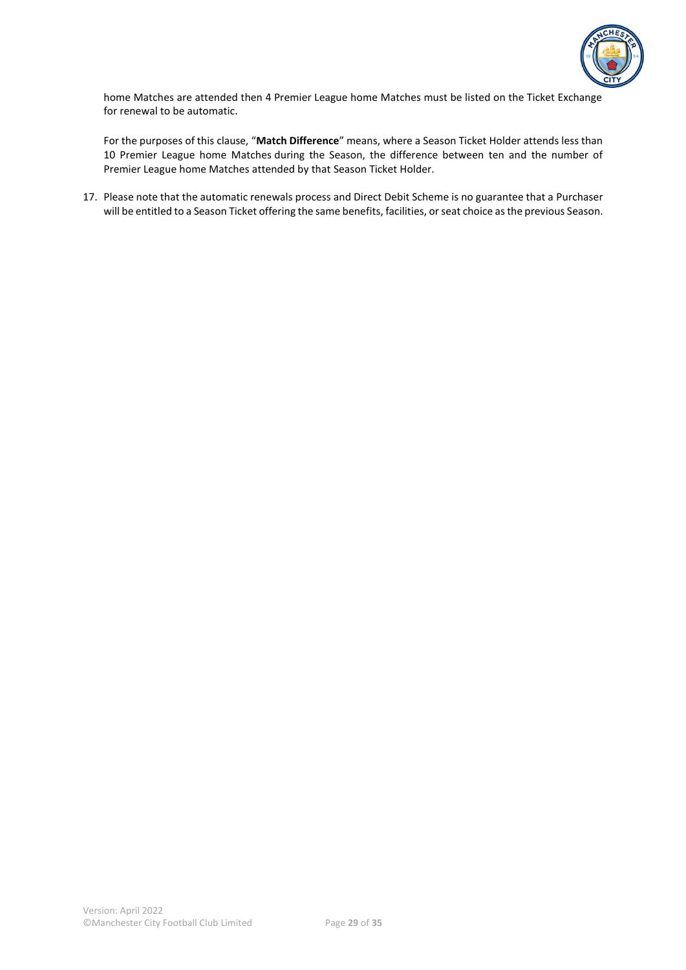

home Matches are attended then 4 Premier League home Matches must be listed on the Ticket Exchange for renewal to be automatic.

For the purposes of this clause, "**Match Difference**" means, where a Season Ticket Holder attends less than 10 Premier League home Matches during the Season, the difference between ten and the number of Premier League home Matches attended by that Season Ticket Holder.

17. Please note that the automatic renewals process and Direct Debit Scheme is no guarantee that a Purchaser will be entitled to a Season Ticket offering the same benefits, facilities, or seat choice as the previous Season.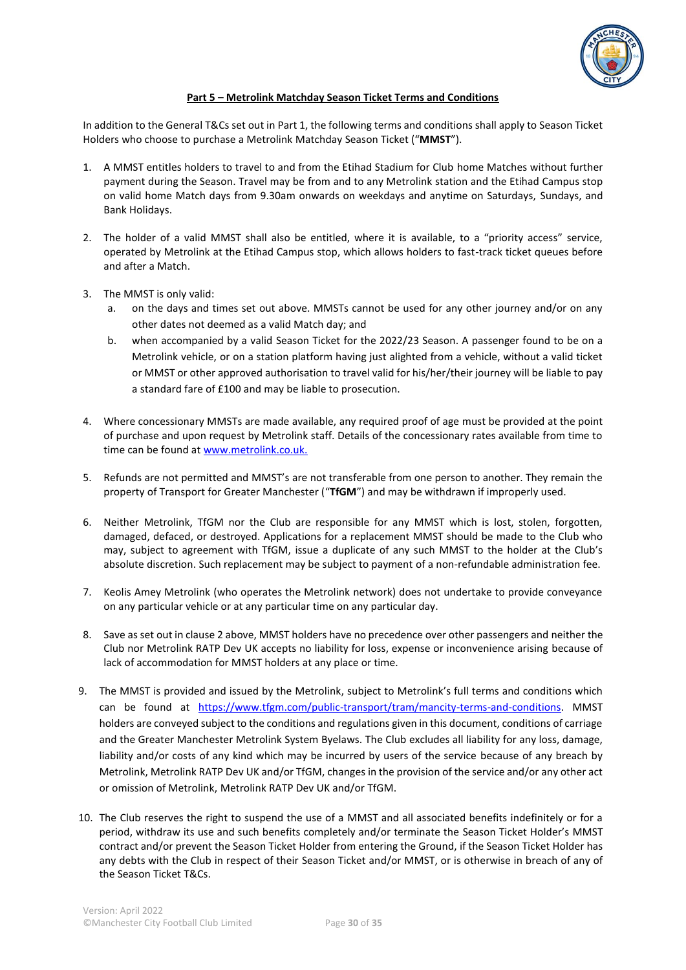

#### **Part 5 – Metrolink Matchday Season Ticket Terms and Conditions**

In addition to the General T&Cs set out in Part 1, the following terms and conditions shall apply to Season Ticket Holders who choose to purchase a Metrolink Matchday Season Ticket ("**MMST**").

- 1. A MMST entitles holders to travel to and from the Etihad Stadium for Club home Matches without further payment during the Season. Travel may be from and to any Metrolink station and the Etihad Campus stop on valid home Match days from 9.30am onwards on weekdays and anytime on Saturdays, Sundays, and Bank Holidays.
- 2. The holder of a valid MMST shall also be entitled, where it is available, to a "priority access" service, operated by Metrolink at the Etihad Campus stop, which allows holders to fast-track ticket queues before and after a Match.
- 3. The MMST is only valid:
	- a. on the days and times set out above. MMSTs cannot be used for any other journey and/or on any other dates not deemed as a valid Match day; and
	- b. when accompanied by a valid Season Ticket for the 2022/23 Season. A passenger found to be on a Metrolink vehicle, or on a station platform having just alighted from a vehicle, without a valid ticket or MMST or other approved authorisation to travel valid for his/her/their journey will be liable to pay a standard fare of £100 and may be liable to prosecution.
- 4. Where concessionary MMSTs are made available, any required proof of age must be provided at the point of purchase and upon request by Metrolink staff. Details of the concessionary rates available from time to time can be found a[t www.metrolink.co.uk.](http://www.metrolink.co.uk/)
- 5. Refunds are not permitted and MMST's are not transferable from one person to another. They remain the property of Transport for Greater Manchester ("**TfGM**") and may be withdrawn if improperly used.
- 6. Neither Metrolink, TfGM nor the Club are responsible for any MMST which is lost, stolen, forgotten, damaged, defaced, or destroyed. Applications for a replacement MMST should be made to the Club who may, subject to agreement with TfGM, issue a duplicate of any such MMST to the holder at the Club's absolute discretion. Such replacement may be subject to payment of a non-refundable administration fee.
- 7. Keolis Amey Metrolink (who operates the Metrolink network) does not undertake to provide conveyance on any particular vehicle or at any particular time on any particular day.
- 8. Save as set out in clause 2 above, MMST holders have no precedence over other passengers and neither the Club nor Metrolink RATP Dev UK accepts no liability for loss, expense or inconvenience arising because of lack of accommodation for MMST holders at any place or time.
- 9. The MMST is provided and issued by the Metrolink, subject to Metrolink's full terms and conditions which can be found at [https://www.tfgm.com/public-transport/tram/mancity-terms-and-conditions.](https://www.tfgm.com/public-transport/tram/mancity-terms-and-conditions) MMST holders are conveyed subject to the conditions and regulations given in this document, conditions of carriage and the Greater Manchester Metrolink System Byelaws. The Club excludes all liability for any loss, damage, liability and/or costs of any kind which may be incurred by users of the service because of any breach by Metrolink, Metrolink RATP Dev UK and/or TfGM, changes in the provision of the service and/or any other act or omission of Metrolink, Metrolink RATP Dev UK and/or TfGM.
- 10. The Club reserves the right to suspend the use of a MMST and all associated benefits indefinitely or for a period, withdraw its use and such benefits completely and/or terminate the Season Ticket Holder's MMST contract and/or prevent the Season Ticket Holder from entering the Ground, if the Season Ticket Holder has any debts with the Club in respect of their Season Ticket and/or MMST, or is otherwise in breach of any of the Season Ticket T&Cs.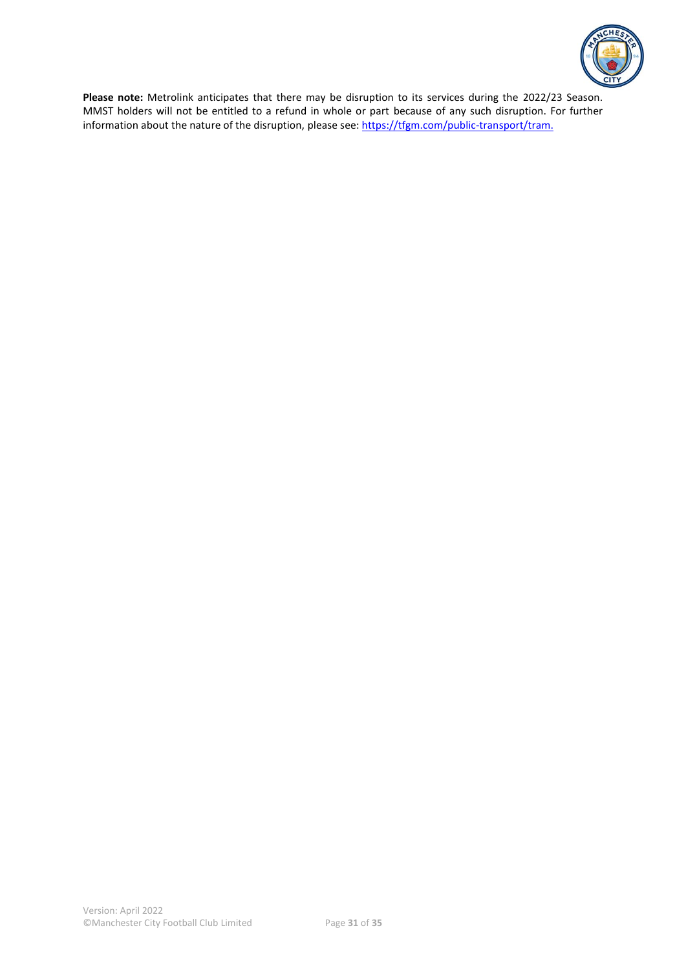

**Please note:** Metrolink anticipates that there may be disruption to its services during the 2022/23 Season. MMST holders will not be entitled to a refund in whole or part because of any such disruption. For further information about the nature of the disruption, please see: [https://tfgm.com/public-transport/tram.](https://tfgm.com/public-transport/tram)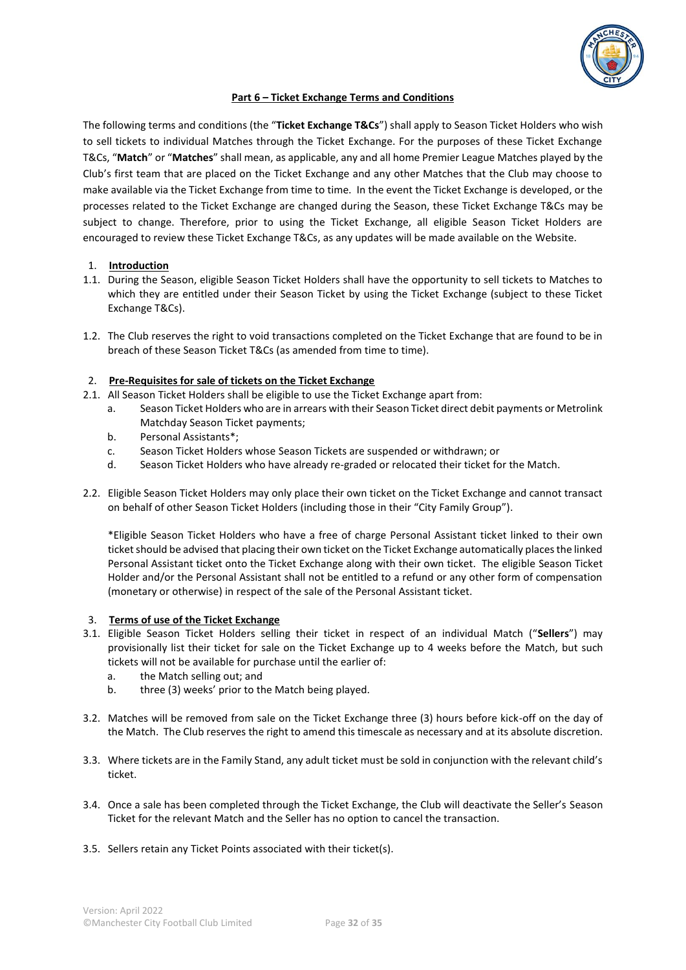

#### **Part 6 – Ticket Exchange Terms and Conditions**

The following terms and conditions (the "**Ticket Exchange T&Cs**") shall apply to Season Ticket Holders who wish to sell tickets to individual Matches through the Ticket Exchange. For the purposes of these Ticket Exchange T&Cs, "**Match**" or "**Matches**" shall mean, as applicable, any and all home Premier League Matches played by the Club's first team that are placed on the Ticket Exchange and any other Matches that the Club may choose to make available via the Ticket Exchange from time to time. In the event the Ticket Exchange is developed, or the processes related to the Ticket Exchange are changed during the Season, these Ticket Exchange T&Cs may be subject to change. Therefore, prior to using the Ticket Exchange, all eligible Season Ticket Holders are encouraged to review these Ticket Exchange T&Cs, as any updates will be made available on the Website.

#### 1. **Introduction**

- 1.1. During the Season, eligible Season Ticket Holders shall have the opportunity to sell tickets to Matches to which they are entitled under their Season Ticket by using the Ticket Exchange (subject to these Ticket Exchange T&Cs).
- 1.2. The Club reserves the right to void transactions completed on the Ticket Exchange that are found to be in breach of these Season Ticket T&Cs (as amended from time to time).

#### 2. **Pre-Requisites for sale of tickets on the Ticket Exchange**

- 2.1. All Season Ticket Holders shall be eligible to use the Ticket Exchange apart from:
	- a. Season Ticket Holders who are in arrears with their Season Ticket direct debit payments or Metrolink Matchday Season Ticket payments;
	- b. Personal Assistants\*;
	- c. Season Ticket Holders whose Season Tickets are suspended or withdrawn; or
	- d. Season Ticket Holders who have already re-graded or relocated their ticket for the Match.
- 2.2. Eligible Season Ticket Holders may only place their own ticket on the Ticket Exchange and cannot transact on behalf of other Season Ticket Holders (including those in their "City Family Group").

\*Eligible Season Ticket Holders who have a free of charge Personal Assistant ticket linked to their own ticket should be advised that placing their own ticket on the Ticket Exchange automatically places the linked Personal Assistant ticket onto the Ticket Exchange along with their own ticket. The eligible Season Ticket Holder and/or the Personal Assistant shall not be entitled to a refund or any other form of compensation (monetary or otherwise) in respect of the sale of the Personal Assistant ticket.

#### 3. **Terms of use of the Ticket Exchange**

- 3.1. Eligible Season Ticket Holders selling their ticket in respect of an individual Match ("**Sellers**") may provisionally list their ticket for sale on the Ticket Exchange up to 4 weeks before the Match, but such tickets will not be available for purchase until the earlier of:
	- a. the Match selling out; and
	- b. three (3) weeks' prior to the Match being played.
- 3.2. Matches will be removed from sale on the Ticket Exchange three (3) hours before kick-off on the day of the Match. The Club reserves the right to amend this timescale as necessary and at its absolute discretion.
- 3.3. Where tickets are in the Family Stand, any adult ticket must be sold in conjunction with the relevant child's ticket.
- 3.4. Once a sale has been completed through the Ticket Exchange, the Club will deactivate the Seller's Season Ticket for the relevant Match and the Seller has no option to cancel the transaction.
- 3.5. Sellers retain any Ticket Points associated with their ticket(s).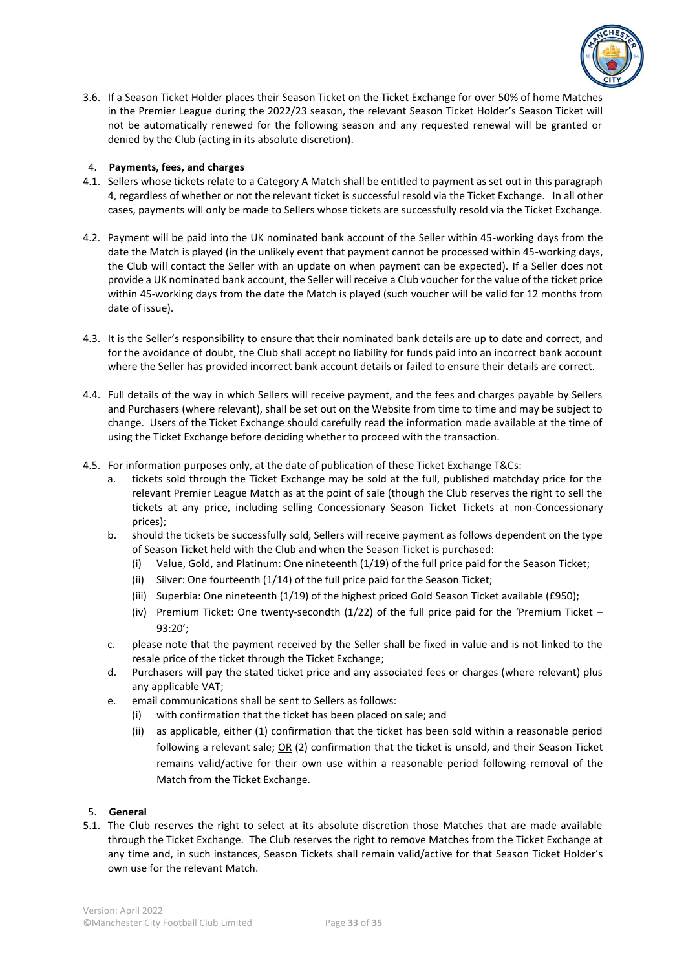

3.6. If a Season Ticket Holder places their Season Ticket on the Ticket Exchange for over 50% of home Matches in the Premier League during the 2022/23 season, the relevant Season Ticket Holder's Season Ticket will not be automatically renewed for the following season and any requested renewal will be granted or denied by the Club (acting in its absolute discretion).

# 4. **Payments, fees, and charges**

- 4.1. Sellers whose tickets relate to a Category A Match shall be entitled to payment as set out in this paragraph 4, regardless of whether or not the relevant ticket is successful resold via the Ticket Exchange. In all other cases, payments will only be made to Sellers whose tickets are successfully resold via the Ticket Exchange.
- 4.2. Payment will be paid into the UK nominated bank account of the Seller within 45-working days from the date the Match is played (in the unlikely event that payment cannot be processed within 45-working days, the Club will contact the Seller with an update on when payment can be expected). If a Seller does not provide a UK nominated bank account, the Seller will receive a Club voucher for the value of the ticket price within 45-working days from the date the Match is played (such voucher will be valid for 12 months from date of issue).
- 4.3. It is the Seller's responsibility to ensure that their nominated bank details are up to date and correct, and for the avoidance of doubt, the Club shall accept no liability for funds paid into an incorrect bank account where the Seller has provided incorrect bank account details or failed to ensure their details are correct.
- 4.4. Full details of the way in which Sellers will receive payment, and the fees and charges payable by Sellers and Purchasers (where relevant), shall be set out on the Website from time to time and may be subject to change. Users of the Ticket Exchange should carefully read the information made available at the time of using the Ticket Exchange before deciding whether to proceed with the transaction.
- 4.5. For information purposes only, at the date of publication of these Ticket Exchange T&Cs:
	- a. tickets sold through the Ticket Exchange may be sold at the full, published matchday price for the relevant Premier League Match as at the point of sale (though the Club reserves the right to sell the tickets at any price, including selling Concessionary Season Ticket Tickets at non-Concessionary prices);
	- b. should the tickets be successfully sold, Sellers will receive payment as follows dependent on the type of Season Ticket held with the Club and when the Season Ticket is purchased:
		- (i) Value, Gold, and Platinum: One nineteenth (1/19) of the full price paid for the Season Ticket;
		- (ii) Silver: One fourteenth (1/14) of the full price paid for the Season Ticket;
		- (iii) Superbia: One nineteenth (1/19) of the highest priced Gold Season Ticket available (£950);
		- (iv) Premium Ticket: One twenty-secondth (1/22) of the full price paid for the 'Premium Ticket 93:20';
	- c. please note that the payment received by the Seller shall be fixed in value and is not linked to the resale price of the ticket through the Ticket Exchange;
	- d. Purchasers will pay the stated ticket price and any associated fees or charges (where relevant) plus any applicable VAT;
	- e. email communications shall be sent to Sellers as follows:
		- (i) with confirmation that the ticket has been placed on sale; and
		- (ii) as applicable, either (1) confirmation that the ticket has been sold within a reasonable period following a relevant sale; OR (2) confirmation that the ticket is unsold, and their Season Ticket remains valid/active for their own use within a reasonable period following removal of the Match from the Ticket Exchange.

#### 5. **General**

5.1. The Club reserves the right to select at its absolute discretion those Matches that are made available through the Ticket Exchange. The Club reserves the right to remove Matches from the Ticket Exchange at any time and, in such instances, Season Tickets shall remain valid/active for that Season Ticket Holder's own use for the relevant Match.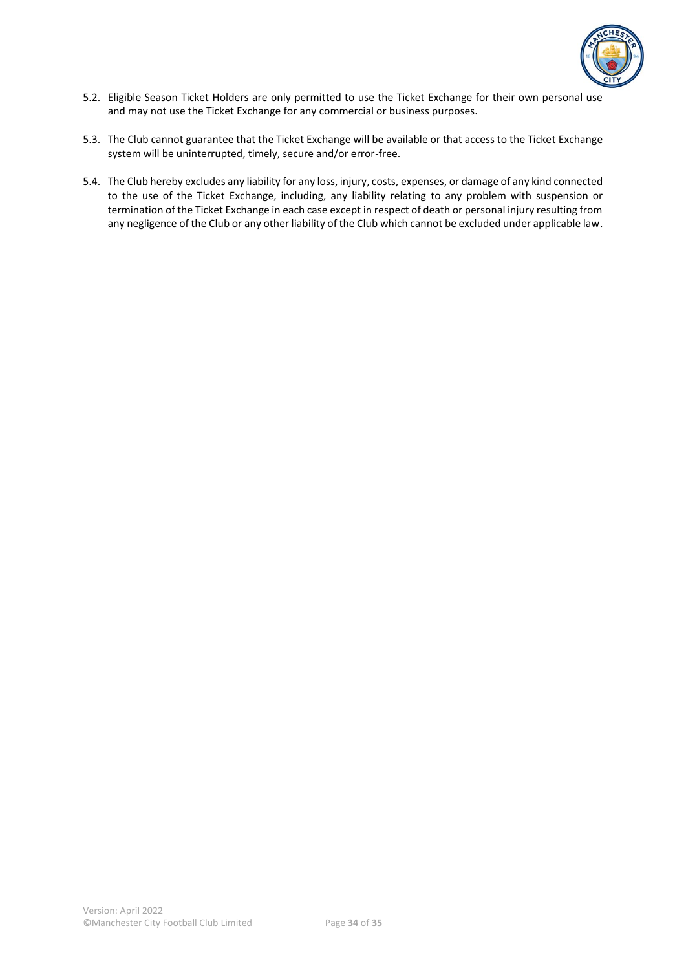

- 5.2. Eligible Season Ticket Holders are only permitted to use the Ticket Exchange for their own personal use and may not use the Ticket Exchange for any commercial or business purposes.
- 5.3. The Club cannot guarantee that the Ticket Exchange will be available or that access to the Ticket Exchange system will be uninterrupted, timely, secure and/or error-free.
- 5.4. The Club hereby excludes any liability for any loss, injury, costs, expenses, or damage of any kind connected to the use of the Ticket Exchange, including, any liability relating to any problem with suspension or termination of the Ticket Exchange in each case except in respect of death or personal injury resulting from any negligence of the Club or any other liability of the Club which cannot be excluded under applicable law.